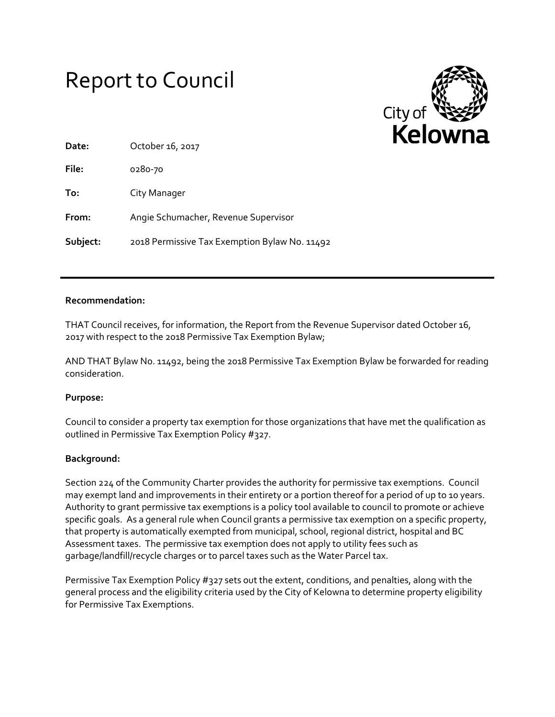# Report to Council



| Date:    | October 16, 2017                              |
|----------|-----------------------------------------------|
| File:    | 0280-70                                       |
| To:      | City Manager                                  |
| From:    | Angie Schumacher, Revenue Supervisor          |
| Subject: | 2018 Permissive Tax Exemption Bylaw No. 11492 |

#### **Recommendation:**

THAT Council receives, for information, the Report from the Revenue Supervisor dated October 16, 2017 with respect to the 2018 Permissive Tax Exemption Bylaw;

AND THAT Bylaw No. 11492, being the 2018 Permissive Tax Exemption Bylaw be forwarded for reading consideration.

# **Purpose:**

Council to consider a property tax exemption for those organizations that have met the qualification as outlined in Permissive Tax Exemption Policy #327.

# **Background:**

Section 224 of the Community Charter provides the authority for permissive tax exemptions. Council may exempt land and improvements in their entirety or a portion thereof for a period of up to 10 years. Authority to grant permissive tax exemptions is a policy tool available to council to promote or achieve specific goals. As a general rule when Council grants a permissive tax exemption on a specific property, that property is automatically exempted from municipal, school, regional district, hospital and BC Assessment taxes. The permissive tax exemption does not apply to utility fees such as garbage/landfill/recycle charges or to parcel taxes such as the Water Parcel tax.

Permissive Tax Exemption Policy #327 sets out the extent, conditions, and penalties, along with the general process and the eligibility criteria used by the City of Kelowna to determine property eligibility for Permissive Tax Exemptions.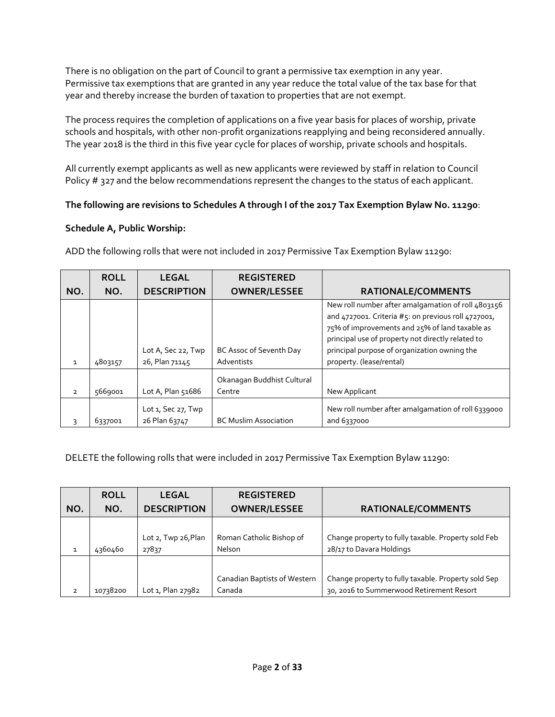There is no obligation on the part of Council to grant a permissive tax exemption in any year. Permissive tax exemptions that are granted in any year reduce the total value of the tax base for that year and thereby increase the burden of taxation to properties that are not exempt.

The process requires the completion of applications on a five year basis for places of worship, private schools and hospitals, with other non-profit organizations reapplying and being reconsidered annually. The year 2018 is the third in this five year cycle for places of worship, private schools and hospitals.

All currently exempt applicants as well as new applicants were reviewed by staff in relation to Council Policy # 327 and the below recommendations represent the changes to the status of each applicant.

# **The following are revisions to Schedules A through I of the 2017 Tax Exemption Bylaw No. 11290**:

# **Schedule A, Public Worship:**

|                | <b>ROLL</b> | <b>LEGAL</b>                              | <b>REGISTERED</b>                    |                                                                                                                                                                                                                                                                  |
|----------------|-------------|-------------------------------------------|--------------------------------------|------------------------------------------------------------------------------------------------------------------------------------------------------------------------------------------------------------------------------------------------------------------|
| NO.            | NO.         | <b>DESCRIPTION</b>                        | <b>OWNER/LESSEE</b>                  | <b>RATIONALE/COMMENTS</b>                                                                                                                                                                                                                                        |
|                |             | Lot A, Sec 22, Twp                        | BC Assoc of Seventh Day              | New roll number after amalgamation of roll 4803156<br>and 4727001. Criteria #5: on previous roll 4727001,<br>75% of improvements and 25% of land taxable as<br>principal use of property not directly related to<br>principal purpose of organization owning the |
| $\mathbf{1}$   | 4803157     | 26, Plan 71145                            | Adventists                           | property. (lease/rental)                                                                                                                                                                                                                                         |
| $\overline{2}$ | 5669001     | Lot A, Plan 51686                         | Okanagan Buddhist Cultural<br>Centre | New Applicant                                                                                                                                                                                                                                                    |
| 3              | 6337001     | Lot $1$ , Sec $27$ , Twp<br>26 Plan 63747 | <b>BC Muslim Association</b>         | New roll number after amalgamation of roll 6339000<br>and 6337000                                                                                                                                                                                                |

ADD the following rolls that were not included in 2017 Permissive Tax Exemption Bylaw 11290:

DELETE the following rolls that were included in 2017 Permissive Tax Exemption Bylaw 11290:

|                | <b>ROLL</b> | <b>LEGAL</b>        | <b>REGISTERED</b>            |                                                     |
|----------------|-------------|---------------------|------------------------------|-----------------------------------------------------|
| NO.            | NO.         | <b>DESCRIPTION</b>  | <b>OWNER/LESSEE</b>          | <b>RATIONALE/COMMENTS</b>                           |
|                |             |                     |                              |                                                     |
|                |             | Lot 2, Twp 26, Plan | Roman Catholic Bishop of     | Change property to fully taxable. Property sold Feb |
| $\mathbf{1}$   | 4360460     | 27837               | Nelson                       | 28/17 to Davara Holdings                            |
|                |             |                     |                              |                                                     |
|                |             |                     | Canadian Baptists of Western | Change property to fully taxable. Property sold Sep |
| $\overline{2}$ | 10738200    | Lot 1, Plan 27982   | Canada                       | 30, 2016 to Summerwood Retirement Resort            |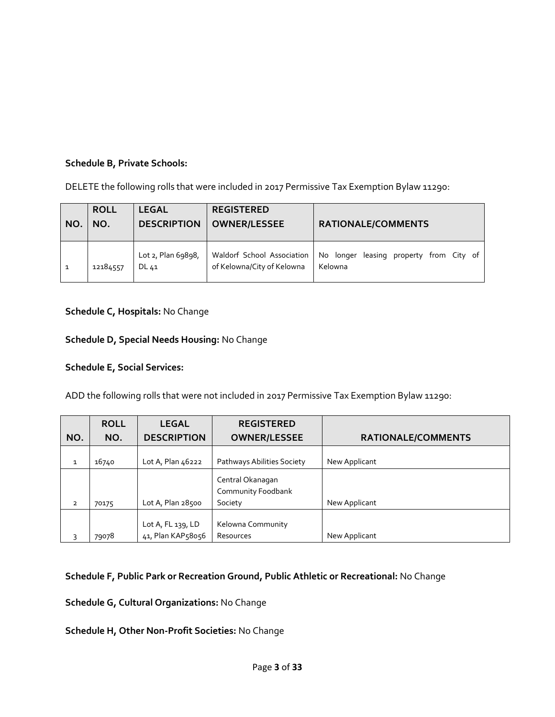# **Schedule B, Private Schools:**

DELETE the following rolls that were included in 2017 Permissive Tax Exemption Bylaw 11290:

| NO.          | <b>ROLL</b><br>NO. | <b>LEGAL</b><br><b>DESCRIPTION</b> | <b>REGISTERED</b><br><b>OWNER/LESSEE</b>                 | <b>RATIONALE/COMMENTS</b>                          |
|--------------|--------------------|------------------------------------|----------------------------------------------------------|----------------------------------------------------|
| $\mathbf{1}$ | 12184557           | Lot 2, Plan 69898,<br>DL 41        | Waldorf School Association<br>of Kelowna/City of Kelowna | No longer leasing property from City of<br>Kelowna |

# **Schedule C, Hospitals:** No Change

# **Schedule D, Special Needs Housing:** No Change

# **Schedule E, Social Services:**

ADD the following rolls that were not included in 2017 Permissive Tax Exemption Bylaw 11290:

|                | <b>ROLL</b> | <b>LEGAL</b>       | <b>REGISTERED</b>          |                           |
|----------------|-------------|--------------------|----------------------------|---------------------------|
| NO.            | NO.         | <b>DESCRIPTION</b> | <b>OWNER/LESSEE</b>        | <b>RATIONALE/COMMENTS</b> |
|                |             |                    |                            |                           |
| $\mathbf{1}$   | 16740       | Lot A, Plan 46222  | Pathways Abilities Society | New Applicant             |
|                |             |                    | Central Okanagan           |                           |
|                |             |                    | Community Foodbank         |                           |
| $\overline{2}$ | 70175       | Lot A, Plan 28500  | Society                    | New Applicant             |
|                |             |                    |                            |                           |
|                |             | Lot A, FL 139, LD  | Kelowna Community          |                           |
| 3              | 79078       | 41, Plan KAP58056  | Resources                  | New Applicant             |

# **Schedule F, Public Park or Recreation Ground, Public Athletic or Recreational:** No Change

**Schedule G, Cultural Organizations:** No Change

**Schedule H, Other Non-Profit Societies:** No Change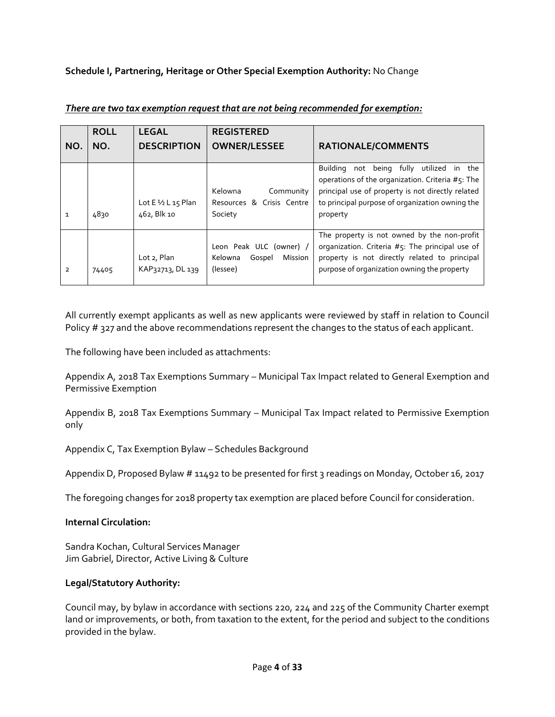**Schedule I, Partnering, Heritage or Other Special Exemption Authority:** No Change

| NO.            | <b>ROLL</b><br>NO. | <b>LEGAL</b><br><b>DESCRIPTION</b>           | <b>REGISTERED</b><br><b>OWNER/LESSEE</b>                                   | <b>RATIONALE/COMMENTS</b>                                                                                                                                                                                                     |
|----------------|--------------------|----------------------------------------------|----------------------------------------------------------------------------|-------------------------------------------------------------------------------------------------------------------------------------------------------------------------------------------------------------------------------|
|                |                    |                                              |                                                                            |                                                                                                                                                                                                                               |
| $\mathbf{1}$   | 4830               | Lot $E\frac{1}{2}L_1$ 15 Plan<br>462, Blk 10 | Kelowna<br>Community<br>Resources & Crisis Centre<br>Society               | not being fully<br>utilized in the<br><b>Building</b><br>operations of the organization. Criteria #5: The<br>principal use of property is not directly related<br>to principal purpose of organization owning the<br>property |
| $\overline{2}$ | 74405              | Lot 2, Plan<br>KAP32713, DL 139              | Leon Peak ULC (owner) /<br><b>Mission</b><br>Kelowna<br>Gospel<br>(lessee) | The property is not owned by the non-profit<br>organization. Criteria #5: The principal use of<br>property is not directly related to principal<br>purpose of organization owning the property                                |

*There are two tax exemption request that are not being recommended for exemption:*

All currently exempt applicants as well as new applicants were reviewed by staff in relation to Council Policy # 327 and the above recommendations represent the changes to the status of each applicant.

The following have been included as attachments:

Appendix A, 2018 Tax Exemptions Summary – Municipal Tax Impact related to General Exemption and Permissive Exemption

Appendix B, 2018 Tax Exemptions Summary – Municipal Tax Impact related to Permissive Exemption only

Appendix C, Tax Exemption Bylaw – Schedules Background

Appendix D, Proposed Bylaw # 11492 to be presented for first 3 readings on Monday, October 16, 2017

The foregoing changes for 2018 property tax exemption are placed before Council for consideration.

# **Internal Circulation:**

Sandra Kochan, Cultural Services Manager Jim Gabriel, Director, Active Living & Culture

# **Legal/Statutory Authority:**

Council may, by bylaw in accordance with sections 220, 224 and 225 of the Community Charter exempt land or improvements, or both, from taxation to the extent, for the period and subject to the conditions provided in the bylaw.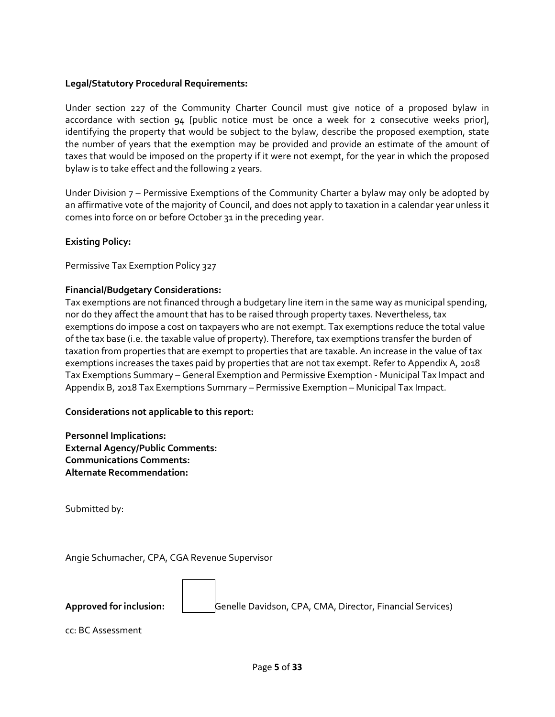### **Legal/Statutory Procedural Requirements:**

Under section 227 of the Community Charter Council must give notice of a proposed bylaw in accordance with section 94 [public notice must be once a week for 2 consecutive weeks prior], identifying the property that would be subject to the bylaw, describe the proposed exemption, state the number of years that the exemption may be provided and provide an estimate of the amount of taxes that would be imposed on the property if it were not exempt, for the year in which the proposed bylaw is to take effect and the following 2 years.

Under Division 7 – Permissive Exemptions of the Community Charter a bylaw may only be adopted by an affirmative vote of the majority of Council, and does not apply to taxation in a calendar year unless it comes into force on or before October 31 in the preceding year.

# **Existing Policy:**

Permissive Tax Exemption Policy 327

#### **Financial/Budgetary Considerations:**

Tax exemptions are not financed through a budgetary line item in the same way as municipal spending, nor do they affect the amount that has to be raised through property taxes. Nevertheless, tax exemptions do impose a cost on taxpayers who are not exempt. Tax exemptions reduce the total value of the tax base (i.e. the taxable value of property). Therefore, tax exemptions transfer the burden of taxation from properties that are exempt to properties that are taxable. An increase in the value of tax exemptions increases the taxes paid by properties that are not tax exempt. Refer to Appendix A, 2018 Tax Exemptions Summary – General Exemption and Permissive Exemption - Municipal Tax Impact and Appendix B, 2018 Tax Exemptions Summary – Permissive Exemption – Municipal Tax Impact.

#### **Considerations not applicable to this report:**

**Personnel Implications: External Agency/Public Comments: Communications Comments: Alternate Recommendation:**

Submitted by:

Angie Schumacher, CPA, CGA Revenue Supervisor

**Approved for inclusion:** Genelle Davidson, CPA, CMA, Director, Financial Services)

cc: BC Assessment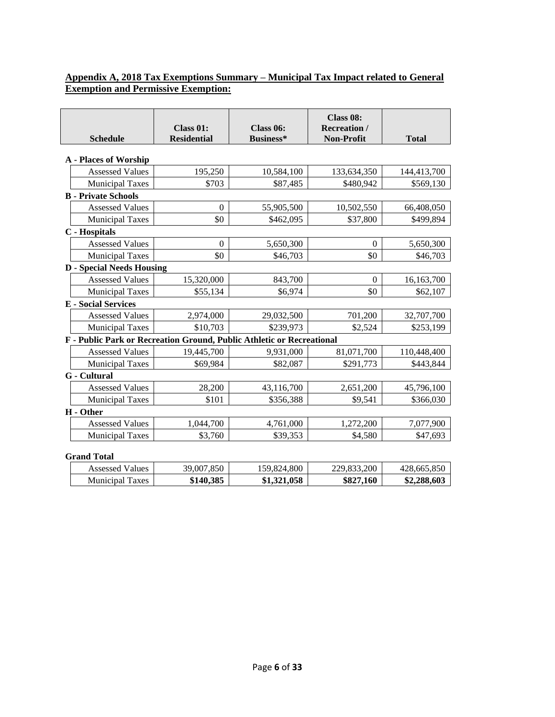# **Appendix A, 2018 Tax Exemptions Summary – Municipal Tax Impact related to General Exemption and Permissive Exemption:**

| <b>Schedule</b>                                                       | Class 01:<br><b>Residential</b> | Class 06:<br><b>Business*</b> | Class 08:<br><b>Recreation</b> /<br><b>Non-Profit</b> | <b>Total</b> |  |
|-----------------------------------------------------------------------|---------------------------------|-------------------------------|-------------------------------------------------------|--------------|--|
|                                                                       |                                 |                               |                                                       |              |  |
| <b>A</b> - Places of Worship                                          |                                 |                               |                                                       |              |  |
| <b>Assessed Values</b>                                                | 195,250                         | 10,584,100                    | 133,634,350                                           | 144,413,700  |  |
| <b>Municipal Taxes</b>                                                | \$703                           | \$87,485                      | \$480,942                                             | \$569,130    |  |
| <b>B</b> - Private Schools                                            |                                 |                               |                                                       |              |  |
| <b>Assessed Values</b>                                                | $\theta$                        | 55,905,500                    | 10,502,550                                            | 66,408,050   |  |
| <b>Municipal Taxes</b>                                                | \$0                             | \$462,095                     | \$37,800                                              | \$499,894    |  |
| <b>C</b> - Hospitals                                                  |                                 |                               |                                                       |              |  |
| <b>Assessed Values</b>                                                | $\mathbf{0}$                    | 5,650,300                     | $\boldsymbol{0}$                                      | 5,650,300    |  |
| <b>Municipal Taxes</b>                                                | \$0                             | \$46,703                      | \$0                                                   | \$46,703     |  |
| <b>D</b> - Special Needs Housing                                      |                                 |                               |                                                       |              |  |
| <b>Assessed Values</b>                                                | 15,320,000                      | 843,700                       | $\mathbf{0}$                                          | 16,163,700   |  |
| <b>Municipal Taxes</b>                                                | \$55,134                        | \$6,974                       | \$0                                                   | \$62,107     |  |
| <b>E</b> - Social Services                                            |                                 |                               |                                                       |              |  |
| <b>Assessed Values</b>                                                | 2,974,000                       | 29,032,500                    | 701,200                                               | 32,707,700   |  |
| <b>Municipal Taxes</b>                                                | \$10,703                        | \$239,973                     | \$2,524                                               | \$253,199    |  |
| F - Public Park or Recreation Ground, Public Athletic or Recreational |                                 |                               |                                                       |              |  |
| <b>Assessed Values</b>                                                | 19,445,700                      | 9,931,000                     | 81,071,700                                            | 110,448,400  |  |
| <b>Municipal Taxes</b>                                                | \$69,984                        | \$82,087                      | \$291,773                                             | \$443,844    |  |
| <b>G</b> - Cultural                                                   |                                 |                               |                                                       |              |  |
| <b>Assessed Values</b>                                                | 28,200                          | 43,116,700                    | 2,651,200                                             | 45,796,100   |  |
| <b>Municipal Taxes</b>                                                | \$101                           | \$356,388                     | \$9,541                                               | \$366,030    |  |
| H - Other                                                             |                                 |                               |                                                       |              |  |
| <b>Assessed Values</b>                                                | 1,044,700                       | 4,761,000                     | 1,272,200                                             | 7,077,900    |  |
| <b>Municipal Taxes</b>                                                | \$3,760                         | \$39,353                      | \$4,580                                               | \$47,693     |  |
| <b>Grand Total</b>                                                    |                                 |                               |                                                       |              |  |
| <b>Assessed Values</b>                                                | 39,007,850                      | 159,824,800                   | 229,833,200                                           | 428,665,850  |  |
| <b>Municipal Taxes</b>                                                | \$140,385                       | \$1,321,058                   | \$827,160                                             | \$2,288,603  |  |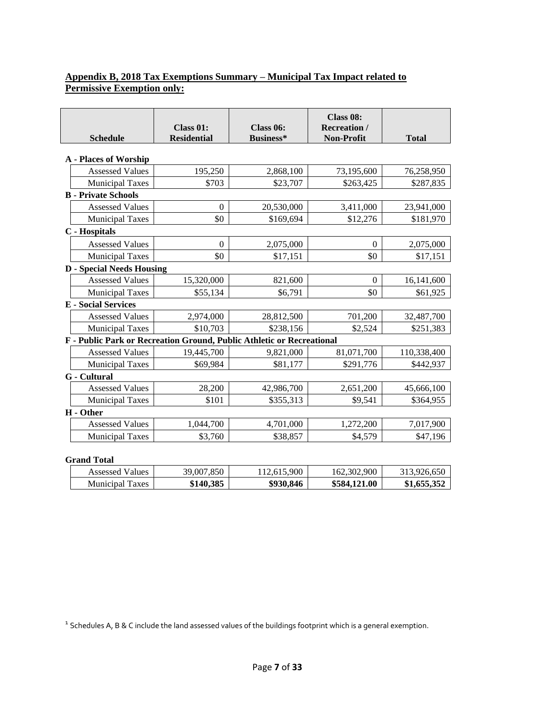# **Appendix B, 2018 Tax Exemptions Summary – Municipal Tax Impact related to Permissive Exemption only:**

|                                                                       | Class 01:          | Class 06:   | Class 08:<br><b>Recreation</b> / |              |
|-----------------------------------------------------------------------|--------------------|-------------|----------------------------------|--------------|
| <b>Schedule</b>                                                       | <b>Residential</b> | Business*   | Non-Profit                       | <b>Total</b> |
| <b>A</b> - Places of Worship                                          |                    |             |                                  |              |
| <b>Assessed Values</b>                                                | 195,250            | 2,868,100   | 73,195,600                       | 76,258,950   |
| <b>Municipal Taxes</b>                                                | \$703              | \$23,707    | \$263,425                        | \$287,835    |
| <b>B</b> - Private Schools                                            |                    |             |                                  |              |
| <b>Assessed Values</b>                                                | $\theta$           | 20,530,000  | 3,411,000                        | 23,941,000   |
| <b>Municipal Taxes</b>                                                | \$0                | \$169,694   | \$12,276                         | \$181,970    |
| C - Hospitals                                                         |                    |             |                                  |              |
| <b>Assessed Values</b>                                                | $\mathbf{0}$       | 2,075,000   | $\mathbf{0}$                     | 2,075,000    |
| <b>Municipal Taxes</b>                                                | \$0                | \$17,151    | \$0                              | \$17,151     |
| <b>D</b> - Special Needs Housing                                      |                    |             |                                  |              |
| <b>Assessed Values</b>                                                | 15,320,000         | 821,600     | $\mathbf{0}$                     | 16,141,600   |
| <b>Municipal Taxes</b>                                                | \$55,134           | \$6,791     | \$0                              | \$61,925     |
| <b>E</b> - Social Services                                            |                    |             |                                  |              |
| <b>Assessed Values</b>                                                | 2,974,000          | 28,812,500  | 701,200                          | 32,487,700   |
| <b>Municipal Taxes</b>                                                | \$10,703           | \$238,156   | \$2,524                          | \$251,383    |
| F - Public Park or Recreation Ground, Public Athletic or Recreational |                    |             |                                  |              |
| <b>Assessed Values</b>                                                | 19,445,700         | 9,821,000   | 81,071,700                       | 110,338,400  |
| <b>Municipal Taxes</b>                                                | \$69,984           | \$81,177    | \$291,776                        | \$442,937    |
| <b>G</b> - Cultural                                                   |                    |             |                                  |              |
| <b>Assessed Values</b>                                                | 28,200             | 42,986,700  | 2,651,200                        | 45,666,100   |
| <b>Municipal Taxes</b>                                                | \$101              | \$355,313   | \$9,541                          | \$364,955    |
| H - Other                                                             |                    |             |                                  |              |
| <b>Assessed Values</b>                                                | 1,044,700          | 4,701,000   | 1,272,200                        | 7,017,900    |
| <b>Municipal Taxes</b>                                                | \$3,760            | \$38,857    | \$4,579                          | \$47,196     |
| <b>Grand Total</b>                                                    |                    |             |                                  |              |
| <b>Assessed Values</b>                                                | 39,007,850         | 112,615,900 | 162,302,900                      | 313,926,650  |
| <b>Municipal Taxes</b>                                                | \$140,385          | \$930,846   | \$584,121.00                     | \$1,655,352  |

 $^1$  Schedules A, B & C include the land assessed values of the buildings footprint which is a general exemption.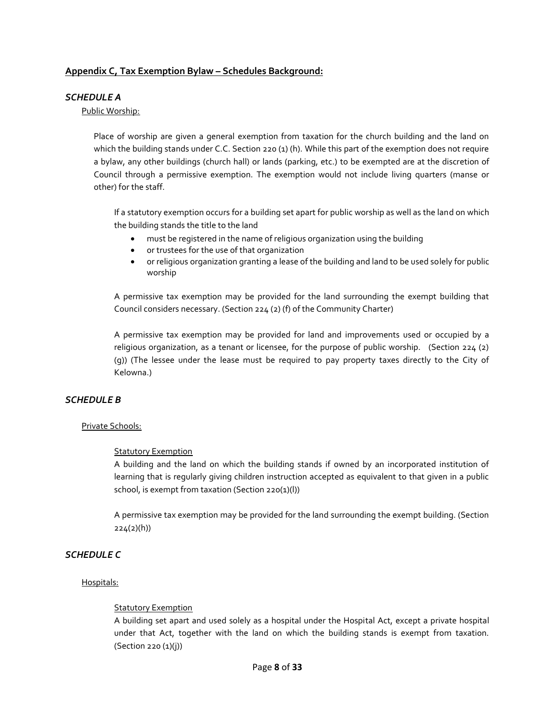#### **Appendix C, Tax Exemption Bylaw – Schedules Background:**

#### *SCHEDULE A*

#### Public Worship:

Place of worship are given a general exemption from taxation for the church building and the land on which the building stands under C.C. Section 220 (1) (h). While this part of the exemption does not require a bylaw, any other buildings (church hall) or lands (parking, etc.) to be exempted are at the discretion of Council through a permissive exemption. The exemption would not include living quarters (manse or other) for the staff.

If a statutory exemption occurs for a building set apart for public worship as well as the land on which the building stands the title to the land

- must be registered in the name of religious organization using the building
- or trustees for the use of that organization
- or religious organization granting a lease of the building and land to be used solely for public worship

A permissive tax exemption may be provided for the land surrounding the exempt building that Council considers necessary. (Section 224 (2) (f) of the Community Charter)

A permissive tax exemption may be provided for land and improvements used or occupied by a religious organization, as a tenant or licensee, for the purpose of public worship. (Section 224 (2) (g)) (The lessee under the lease must be required to pay property taxes directly to the City of Kelowna.)

#### *SCHEDULE B*

#### Private Schools:

#### Statutory Exemption

A building and the land on which the building stands if owned by an incorporated institution of learning that is regularly giving children instruction accepted as equivalent to that given in a public school, is exempt from taxation (Section 220(1)(l))

A permissive tax exemption may be provided for the land surrounding the exempt building. (Section 224(2)(h))

#### *SCHEDULE C*

#### Hospitals:

#### **Statutory Exemption**

A building set apart and used solely as a hospital under the Hospital Act, except a private hospital under that Act, together with the land on which the building stands is exempt from taxation. (Section 220 (1)(j))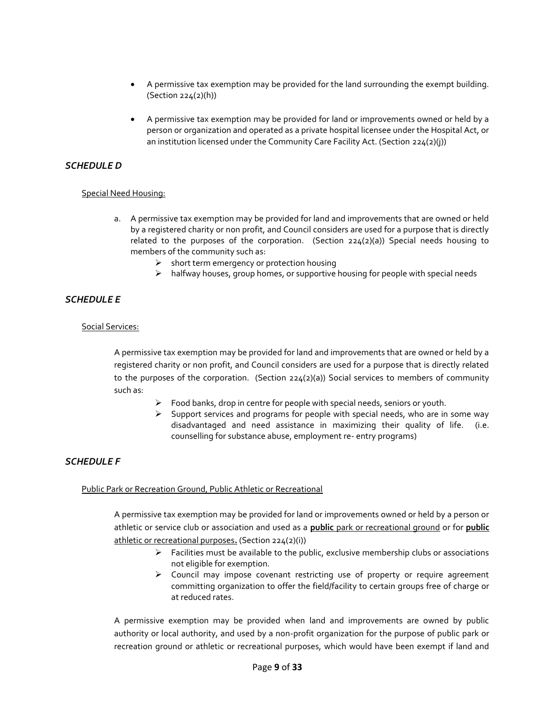- A permissive tax exemption may be provided for the land surrounding the exempt building. (Section 224(2)(h))
- A permissive tax exemption may be provided for land or improvements owned or held by a person or organization and operated as a private hospital licensee under the Hospital Act, or an institution licensed under the Community Care Facility Act. (Section 224(2)(j))

#### *SCHEDULE D*

#### Special Need Housing:

- a. A permissive tax exemption may be provided for land and improvements that are owned or held by a registered charity or non profit, and Council considers are used for a purpose that is directly related to the purposes of the corporation. (Section 224(2)(a)) Special needs housing to members of the community such as:
	- $\triangleright$  short term emergency or protection housing
	- $\triangleright$  halfway houses, group homes, or supportive housing for people with special needs

#### *SCHEDULE E*

#### Social Services:

A permissive tax exemption may be provided for land and improvements that are owned or held by a registered charity or non profit, and Council considers are used for a purpose that is directly related to the purposes of the corporation. (Section 224(2)(a)) Social services to members of community such as:

- $\triangleright$  Food banks, drop in centre for people with special needs, seniors or youth.
- $\triangleright$  Support services and programs for people with special needs, who are in some way disadvantaged and need assistance in maximizing their quality of life. (i.e. counselling for substance abuse, employment re- entry programs)

# *SCHEDULE F*

#### Public Park or Recreation Ground, Public Athletic or Recreational

A permissive tax exemption may be provided for land or improvements owned or held by a person or athletic or service club or association and used as a **public** park or recreational ground or for **public**  athletic or recreational purposes**.** (Section 224(2)(i))

- $\triangleright$  Facilities must be available to the public, exclusive membership clubs or associations not eligible for exemption.
- Council may impose covenant restricting use of property or require agreement committing organization to offer the field/facility to certain groups free of charge or at reduced rates.

A permissive exemption may be provided when land and improvements are owned by public authority or local authority, and used by a non-profit organization for the purpose of public park or recreation ground or athletic or recreational purposes, which would have been exempt if land and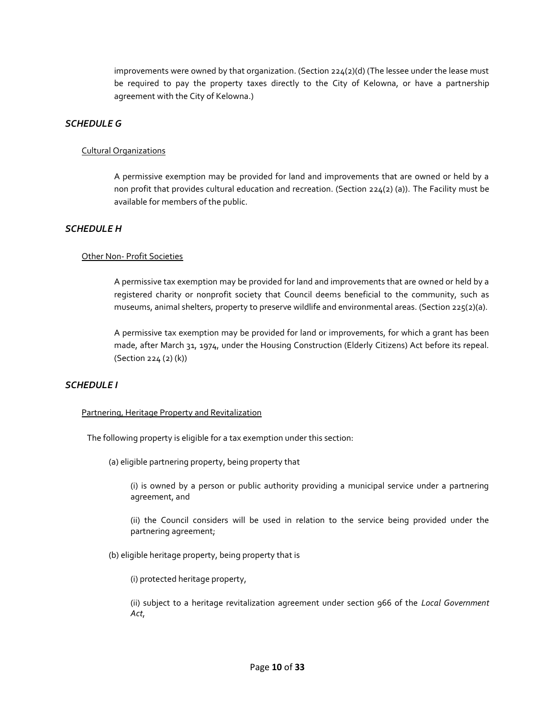improvements were owned by that organization. (Section  $224(2)(d)$  (The lessee under the lease must be required to pay the property taxes directly to the City of Kelowna, or have a partnership agreement with the City of Kelowna.)

#### *SCHEDULE G*

#### Cultural Organizations

A permissive exemption may be provided for land and improvements that are owned or held by a non profit that provides cultural education and recreation. (Section 224(2) (a)). The Facility must be available for members of the public.

#### *SCHEDULE H*

#### Other Non- Profit Societies

A permissive tax exemption may be provided for land and improvements that are owned or held by a registered charity or nonprofit society that Council deems beneficial to the community, such as museums, animal shelters, property to preserve wildlife and environmental areas. (Section 225(2)(a).

A permissive tax exemption may be provided for land or improvements, for which a grant has been made, after March 31, 1974, under the Housing Construction (Elderly Citizens) Act before its repeal. (Section 224 (2) (k))

#### *SCHEDULE I*

#### Partnering, Heritage Property and Revitalization

The following property is eligible for a tax exemption under this section:

(a) eligible partnering property, being property that

(i) is owned by a person or public authority providing a municipal service under a partnering agreement, and

(ii) the Council considers will be used in relation to the service being provided under the partnering agreement;

(b) eligible heritage property, being property that is

(i) protected heritage property,

(ii) subject to a heritage revitalization agreement under section 966 of the *Local Government Act*,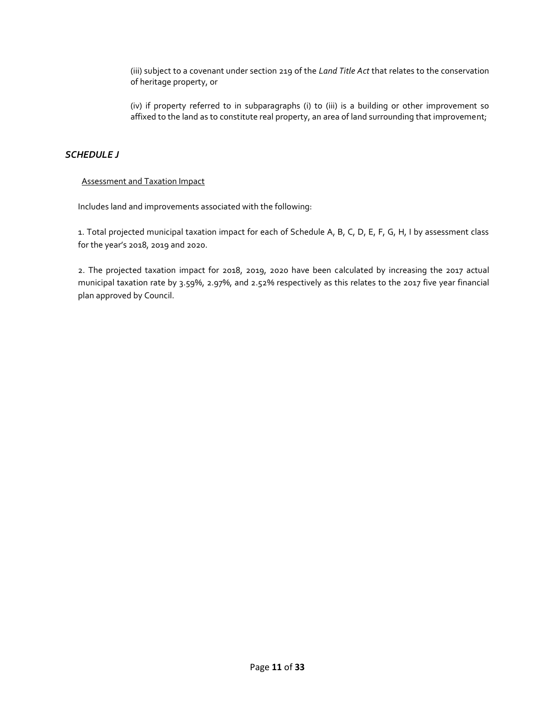(iii) subject to a covenant under section 219 of the *Land Title Act* that relates to the conservation of heritage property, or

(iv) if property referred to in subparagraphs (i) to (iii) is a building or other improvement so affixed to the land as to constitute real property, an area of land surrounding that improvement;

# *SCHEDULE J*

#### Assessment and Taxation Impact

Includes land and improvements associated with the following:

1. Total projected municipal taxation impact for each of Schedule A, B, C, D, E, F, G, H, I by assessment class for the year's 2018, 2019 and 2020.

2. The projected taxation impact for 2018, 2019, 2020 have been calculated by increasing the 2017 actual municipal taxation rate by 3.59%, 2.97%, and 2.52% respectively as this relates to the 2017 five year financial plan approved by Council.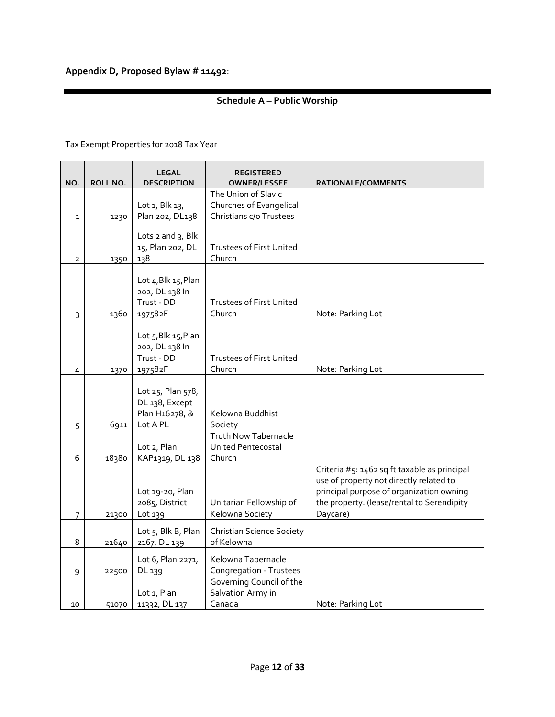# **Appendix D, Proposed Bylaw # 11492**:

# **Schedule A – Public Worship**

| NO.            | ROLL NO. | <b>LEGAL</b><br><b>DESCRIPTION</b>                                | <b>REGISTERED</b><br><b>OWNER/LESSEE</b>                                  | RATIONALE/COMMENTS                                                                                                                                                                            |
|----------------|----------|-------------------------------------------------------------------|---------------------------------------------------------------------------|-----------------------------------------------------------------------------------------------------------------------------------------------------------------------------------------------|
| $\mathbf 1$    | 1230     | Lot 1, Blk 13,<br>Plan 202, DL138                                 | The Union of Slavic<br>Churches of Evangelical<br>Christians c/o Trustees |                                                                                                                                                                                               |
| $\mathbf{2}$   | 1350     | Lots $2$ and $3$ , Blk<br>15, Plan 202, DL<br>138                 | <b>Trustees of First United</b><br>Church                                 |                                                                                                                                                                                               |
| $\overline{3}$ | 1360     | Lot 4, Blk 15, Plan<br>202, DL 138 In<br>Trust - DD<br>197582F    | <b>Trustees of First United</b><br>Church                                 | Note: Parking Lot                                                                                                                                                                             |
| 4              | 1370     | Lot 5, Blk 15, Plan<br>202, DL 138 In<br>Trust - DD<br>197582F    | <b>Trustees of First United</b><br>Church                                 | Note: Parking Lot                                                                                                                                                                             |
| 5              | 6911     | Lot 25, Plan 578,<br>DL 138, Except<br>Plan H16278, &<br>Lot A PL | Kelowna Buddhist<br>Society                                               |                                                                                                                                                                                               |
| 6              | 18380    | Lot 2, Plan<br>KAP1319, DL 138                                    | <b>Truth Now Tabernacle</b><br><b>United Pentecostal</b><br>Church        |                                                                                                                                                                                               |
| 7              | 21300    | Lot 19-20, Plan<br>2085, District<br>Lot 139                      | Unitarian Fellowship of<br>Kelowna Society                                | Criteria #5: 1462 sq ft taxable as principal<br>use of property not directly related to<br>principal purpose of organization owning<br>the property. (lease/rental to Serendipity<br>Daycare) |
| 8              | 21640    | Lot 5, Blk B, Plan<br>2167, DL 139                                | <b>Christian Science Society</b><br>of Kelowna                            |                                                                                                                                                                                               |
| 9              | 22500    | Lot 6, Plan 2271,<br>DL 139                                       | Kelowna Tabernacle<br>Congregation - Trustees                             |                                                                                                                                                                                               |
| 10             | 51070    | Lot 1, Plan<br>11332, DL 137                                      | Governing Council of the<br>Salvation Army in<br>Canada                   | Note: Parking Lot                                                                                                                                                                             |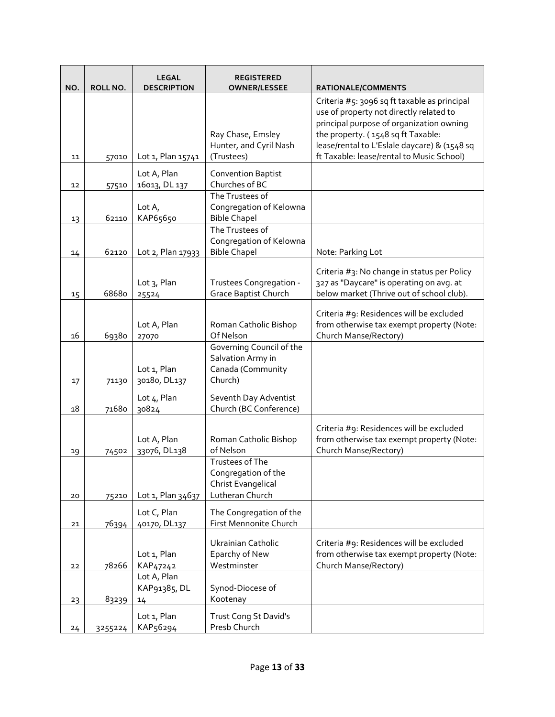| NO. | ROLL NO. | <b>LEGAL</b><br><b>DESCRIPTION</b>  | <b>REGISTERED</b><br><b>OWNER/LESSEE</b>                                        | RATIONALE/COMMENTS                                                                                                                                                                                                                                                     |
|-----|----------|-------------------------------------|---------------------------------------------------------------------------------|------------------------------------------------------------------------------------------------------------------------------------------------------------------------------------------------------------------------------------------------------------------------|
| 11  | 57010    | Lot 1, Plan 15741                   | Ray Chase, Emsley<br>Hunter, and Cyril Nash<br>(Trustees)                       | Criteria #5: 3096 sq ft taxable as principal<br>use of property not directly related to<br>principal purpose of organization owning<br>the property. (1548 sq ft Taxable:<br>lease/rental to L'Eslale daycare) & (1548 sq<br>ft Taxable: lease/rental to Music School) |
| 12  | 57510    | Lot A, Plan<br>16013, DL 137        | <b>Convention Baptist</b><br>Churches of BC                                     |                                                                                                                                                                                                                                                                        |
| 13  | 62110    | Lot $A_{I}$<br>KAP65650             | The Trustees of<br>Congregation of Kelowna<br><b>Bible Chapel</b>               |                                                                                                                                                                                                                                                                        |
| 14  | 62120    | Lot 2, Plan 17933                   | The Trustees of<br>Congregation of Kelowna<br><b>Bible Chapel</b>               | Note: Parking Lot                                                                                                                                                                                                                                                      |
| 15  | 68680    | Lot 3, Plan<br>25524                | Trustees Congregation -<br><b>Grace Baptist Church</b>                          | Criteria #3: No change in status per Policy<br>327 as "Daycare" is operating on avg. at<br>below market (Thrive out of school club).                                                                                                                                   |
| 16  | 69380    | Lot A, Plan<br>27070                | Roman Catholic Bishop<br>Of Nelson                                              | Criteria #9: Residences will be excluded<br>from otherwise tax exempt property (Note:<br>Church Manse/Rectory)                                                                                                                                                         |
| 17  | 71130    | Lot 1, Plan<br>30180, DL137         | Governing Council of the<br>Salvation Army in<br>Canada (Community<br>Church)   |                                                                                                                                                                                                                                                                        |
| 18  | 71680    | Lot 4, Plan<br>30824                | Seventh Day Adventist<br>Church (BC Conference)                                 |                                                                                                                                                                                                                                                                        |
| 19  | 74502    | Lot A, Plan<br>33076, DL138         | Roman Catholic Bishop<br>of Nelson                                              | Criteria #9: Residences will be excluded<br>from otherwise tax exempt property (Note:<br>Church Manse/Rectory)                                                                                                                                                         |
| 20  | 75210    | Lot 1, Plan 34637                   | Trustees of The<br>Congregation of the<br>Christ Evangelical<br>Lutheran Church |                                                                                                                                                                                                                                                                        |
| 21  | 76394    | Lot C, Plan<br>40170, DL137         | The Congregation of the<br>First Mennonite Church                               |                                                                                                                                                                                                                                                                        |
| 22  | 78266    | Lot 1, Plan<br>KAP <sub>47242</sub> | Ukrainian Catholic<br>Eparchy of New<br>Westminster                             | Criteria #9: Residences will be excluded<br>from otherwise tax exempt property (Note:<br>Church Manse/Rectory)                                                                                                                                                         |
| 23  | 83239    | Lot A, Plan<br>KAP91385, DL<br>14   | Synod-Diocese of<br>Kootenay                                                    |                                                                                                                                                                                                                                                                        |
| 24  | 3255224  | Lot 1, Plan<br>KAP56294             | Trust Cong St David's<br>Presb Church                                           |                                                                                                                                                                                                                                                                        |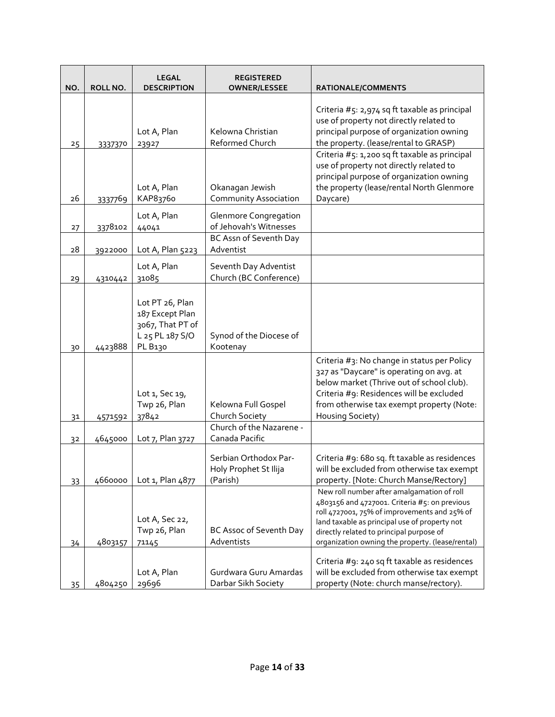| NO.             | ROLL NO. | <b>LEGAL</b><br><b>DESCRIPTION</b>                                                   | <b>REGISTERED</b><br><b>OWNER/LESSEE</b>                   | RATIONALE/COMMENTS                                                                                                                                                                                                                                                                           |
|-----------------|----------|--------------------------------------------------------------------------------------|------------------------------------------------------------|----------------------------------------------------------------------------------------------------------------------------------------------------------------------------------------------------------------------------------------------------------------------------------------------|
| 25              | 3337370  | Lot A, Plan<br>23927                                                                 | Kelowna Christian<br>Reformed Church                       | Criteria #5: 2,974 sq ft taxable as principal<br>use of property not directly related to<br>principal purpose of organization owning<br>the property. (lease/rental to GRASP)                                                                                                                |
| 26              | 3337769  | Lot A, Plan<br>KAP83760                                                              | Okanagan Jewish<br><b>Community Association</b>            | Criteria #5: 1,200 sq ft taxable as principal<br>use of property not directly related to<br>principal purpose of organization owning<br>the property (lease/rental North Glenmore<br>Daycare)                                                                                                |
| 27              | 3378102  | Lot A, Plan<br>44041                                                                 | <b>Glenmore Congregation</b><br>of Jehovah's Witnesses     |                                                                                                                                                                                                                                                                                              |
| 28              | 3922000  | Lot A, Plan 5223                                                                     | BC Assn of Seventh Day<br>Adventist                        |                                                                                                                                                                                                                                                                                              |
| 29              | 4310442  | Lot A, Plan<br>31085                                                                 | Seventh Day Adventist<br>Church (BC Conference)            |                                                                                                                                                                                                                                                                                              |
| 30              | 4423888  | Lot PT 26, Plan<br>187 Except Plan<br>3067, That PT of<br>L 25 PL 187 S/O<br>PL B130 | Synod of the Diocese of<br>Kootenay                        |                                                                                                                                                                                                                                                                                              |
| 31              | 4571592  | Lot 1, Sec 19,<br>Twp 26, Plan<br>37842                                              | Kelowna Full Gospel<br>Church Society                      | Criteria #3: No change in status per Policy<br>327 as "Daycare" is operating on avg. at<br>below market (Thrive out of school club).<br>Criteria #9: Residences will be excluded<br>from otherwise tax exempt property (Note:<br>Housing Society)                                            |
| 32              | 4645000  | Lot 7, Plan 3727                                                                     | Church of the Nazarene -<br>Canada Pacific                 |                                                                                                                                                                                                                                                                                              |
| 33              | 4660000  | Lot 1, Plan 4877                                                                     | Serbian Orthodox Par-<br>Holy Prophet St Ilija<br>(Parish) | Criteria #9: 680 sq. ft taxable as residences<br>will be excluded from otherwise tax exempt<br>property. [Note: Church Manse/Rectory]                                                                                                                                                        |
| 34              | 4803157  | Lot A, Sec 22,<br>Twp 26, Plan<br>71145                                              | BC Assoc of Seventh Day<br>Adventists                      | New roll number after amalgamation of roll<br>4803156 and 4727001. Criteria #5: on previous<br>roll 4727001, 75% of improvements and 25% of<br>land taxable as principal use of property not<br>directly related to principal purpose of<br>organization owning the property. (lease/rental) |
| 35 <sub>2</sub> | 4804250  | Lot A, Plan<br>29696                                                                 | Gurdwara Guru Amardas<br>Darbar Sikh Society               | Criteria #9: 240 sq ft taxable as residences<br>will be excluded from otherwise tax exempt<br>property (Note: church manse/rectory).                                                                                                                                                         |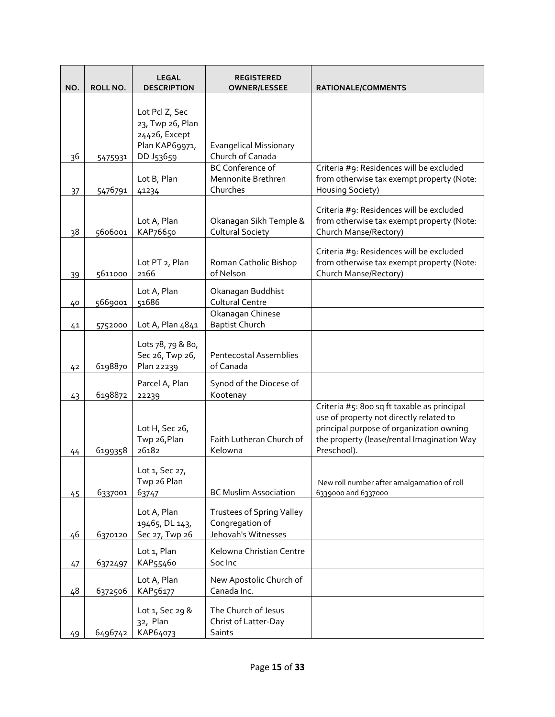| NO.            | ROLL NO. | <b>LEGAL</b><br><b>DESCRIPTION</b>                                    | <b>REGISTERED</b><br><b>OWNER/LESSEE</b>                                   | RATIONALE/COMMENTS                                                                                                                                                                              |
|----------------|----------|-----------------------------------------------------------------------|----------------------------------------------------------------------------|-------------------------------------------------------------------------------------------------------------------------------------------------------------------------------------------------|
|                |          | Lot Pcl Z, Sec<br>23, Twp 26, Plan<br>24426, Except<br>Plan KAP69971, | <b>Evangelical Missionary</b>                                              |                                                                                                                                                                                                 |
| 36             | 5475931  | DD J53659                                                             | Church of Canada                                                           |                                                                                                                                                                                                 |
| 37             | 5476791  | Lot B, Plan<br>41234                                                  | <b>BC Conference of</b><br>Mennonite Brethren<br>Churches                  | Criteria #9: Residences will be excluded<br>from otherwise tax exempt property (Note:<br>Housing Society)                                                                                       |
| 38             | 5606001  | Lot A, Plan<br>KAP76650                                               | Okanagan Sikh Temple &<br><b>Cultural Society</b>                          | Criteria #9: Residences will be excluded<br>from otherwise tax exempt property (Note:<br>Church Manse/Rectory)                                                                                  |
| 39             | 5611000  | Lot PT 2, Plan<br>2166                                                | Roman Catholic Bishop<br>of Nelson                                         | Criteria #9: Residences will be excluded<br>from otherwise tax exempt property (Note:<br>Church Manse/Rectory)                                                                                  |
| 40             | 5669001  | Lot A, Plan<br>51686                                                  | Okanagan Buddhist<br><b>Cultural Centre</b>                                |                                                                                                                                                                                                 |
| 41             | 5752000  | Lot A, Plan 4841                                                      | Okanagan Chinese<br><b>Baptist Church</b>                                  |                                                                                                                                                                                                 |
| 4 <sup>2</sup> | 6198870  | Lots 78, 79 & 80,<br>Sec 26, Twp 26,<br>Plan 22239                    | <b>Pentecostal Assemblies</b><br>of Canada                                 |                                                                                                                                                                                                 |
| 43             | 6198872  | Parcel A, Plan<br>22239                                               | Synod of the Diocese of<br>Kootenay                                        |                                                                                                                                                                                                 |
| 44             | 6199358  | Lot H, Sec 26,<br>Twp 26, Plan<br>26182                               | Faith Lutheran Church of<br>Kelowna                                        | Criteria #5: 800 sq ft taxable as principal<br>use of property not directly related to<br>principal purpose of organization owning<br>the property (lease/rental Imagination Way<br>Preschool). |
| 45             | 6337001  | Lot 1, Sec 27,<br>Twp 26 Plan<br>63747                                | <b>BC Muslim Association</b>                                               | New roll number after amalgamation of roll<br>6339000 and 6337000                                                                                                                               |
| 46             | 6370120  | Lot A, Plan<br>19465, DL 143,<br>Sec 27, Twp 26                       | <b>Trustees of Spring Valley</b><br>Congregation of<br>Jehovah's Witnesses |                                                                                                                                                                                                 |
| 47             | 6372497  | Lot 1, Plan<br>KAP55460                                               | Kelowna Christian Centre<br>Soc Inc                                        |                                                                                                                                                                                                 |
| 48             | 6372506  | Lot A, Plan<br>KAP56177                                               | New Apostolic Church of<br>Canada Inc.                                     |                                                                                                                                                                                                 |
| 49             | 6496742  | Lot 1, Sec 29 &<br>32, Plan<br>KAP64073                               | The Church of Jesus<br>Christ of Latter-Day<br>Saints                      |                                                                                                                                                                                                 |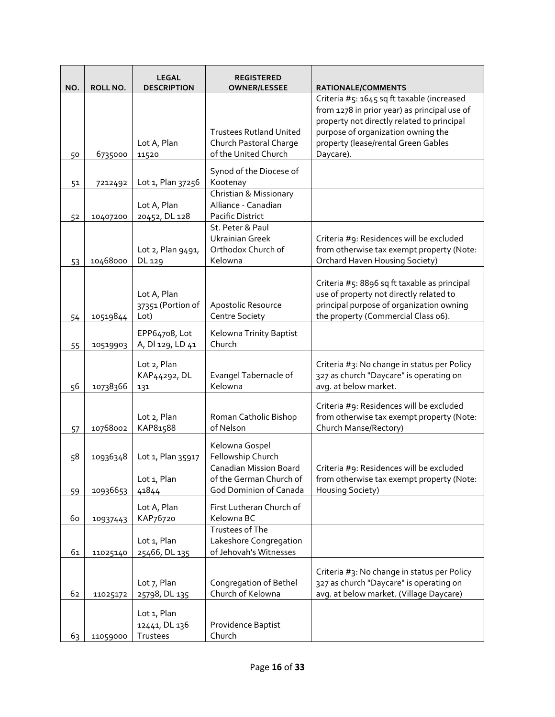| NO. | ROLL NO. | <b>LEGAL</b><br><b>DESCRIPTION</b>       | <b>REGISTERED</b><br><b>OWNER/LESSEE</b>                                    | RATIONALE/COMMENTS                                                                                                                                                         |
|-----|----------|------------------------------------------|-----------------------------------------------------------------------------|----------------------------------------------------------------------------------------------------------------------------------------------------------------------------|
|     |          |                                          |                                                                             | Criteria #5: 1645 sq ft taxable (increased<br>from 1278 in prior year) as principal use of                                                                                 |
|     |          |                                          | <b>Trustees Rutland United</b>                                              | property not directly related to principal<br>purpose of organization owning the                                                                                           |
|     |          | Lot A, Plan                              | Church Pastoral Charge                                                      | property (lease/rental Green Gables                                                                                                                                        |
| 50  | 6735000  | 11520                                    | of the United Church                                                        | Daycare).                                                                                                                                                                  |
| 51  | 7212492  | Lot 1, Plan 37256                        | Synod of the Diocese of<br>Kootenay                                         |                                                                                                                                                                            |
|     |          | Lot A, Plan                              | Christian & Missionary<br>Alliance - Canadian                               |                                                                                                                                                                            |
| 52  | 10407200 | 20452, DL 128                            | Pacific District<br>St. Peter & Paul                                        |                                                                                                                                                                            |
|     |          |                                          | <b>Ukrainian Greek</b>                                                      | Criteria #9: Residences will be excluded                                                                                                                                   |
|     |          | Lot 2, Plan 9491,                        | Orthodox Church of                                                          | from otherwise tax exempt property (Note:                                                                                                                                  |
| 53  | 10468000 | DL 129                                   | Kelowna                                                                     | Orchard Haven Housing Society)                                                                                                                                             |
| 54  | 10519844 | Lot A, Plan<br>37351 (Portion of<br>Lot) | Apostolic Resource<br><b>Centre Society</b>                                 | Criteria #5: 8896 sq ft taxable as principal<br>use of property not directly related to<br>principal purpose of organization owning<br>the property (Commercial Class o6). |
|     |          | EPP64708, Lot                            | Kelowna Trinity Baptist                                                     |                                                                                                                                                                            |
| 55  | 10519903 | A, DI 129, LD 41                         | Church                                                                      |                                                                                                                                                                            |
| 56  | 10738366 | Lot 2, Plan<br>KAP44292, DL<br>131       | Evangel Tabernacle of<br>Kelowna                                            | Criteria #3: No change in status per Policy<br>327 as church "Daycare" is operating on<br>avg. at below market.                                                            |
| 57  | 10768002 | Lot 2, Plan<br>KAP81588                  | Roman Catholic Bishop<br>of Nelson                                          | Criteria #9: Residences will be excluded<br>from otherwise tax exempt property (Note:<br>Church Manse/Rectory)                                                             |
| 58  | 10936348 | Lot 1, Plan 35917                        | Kelowna Gospel<br>Fellowship Church                                         |                                                                                                                                                                            |
| 59  | 10936653 | Lot 1, Plan<br>41844                     | Canadian Mission Board<br>of the German Church of<br>God Dominion of Canada | Criteria #9: Residences will be excluded<br>from otherwise tax exempt property (Note:<br>Housing Society)                                                                  |
| 60  | 10937443 | Lot A, Plan<br>KAP76720                  | First Lutheran Church of<br>Kelowna BC                                      |                                                                                                                                                                            |
| 61  | 11025140 | Lot 1, Plan<br>25466, DL 135             | Trustees of The<br>Lakeshore Congregation<br>of Jehovah's Witnesses         |                                                                                                                                                                            |
| 62  | 11025172 | Lot 7, Plan<br>25798, DL 135             | Congregation of Bethel<br>Church of Kelowna                                 | Criteria #3: No change in status per Policy<br>327 as church "Daycare" is operating on<br>avg. at below market. (Village Daycare)                                          |
| 63  | 11059000 | Lot 1, Plan<br>12441, DL 136<br>Trustees | Providence Baptist<br>Church                                                |                                                                                                                                                                            |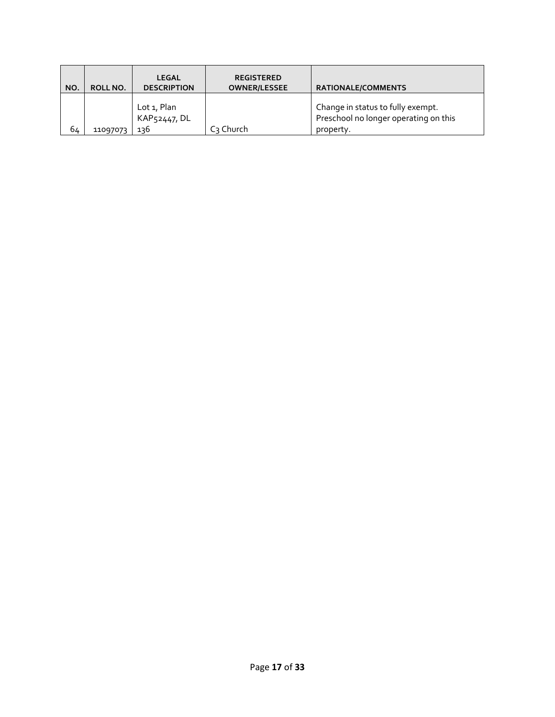| NO. | ROLL NO. | <b>LEGAL</b><br><b>DESCRIPTION</b> | <b>REGISTERED</b><br><b>OWNER/LESSEE</b> | <b>RATIONALE/COMMENTS</b>                                                               |
|-----|----------|------------------------------------|------------------------------------------|-----------------------------------------------------------------------------------------|
| 64  | 11097073 | Lot 1, Plan<br>KAP52447, DL<br>136 | C <sub>3</sub> Church                    | Change in status to fully exempt.<br>Preschool no longer operating on this<br>property. |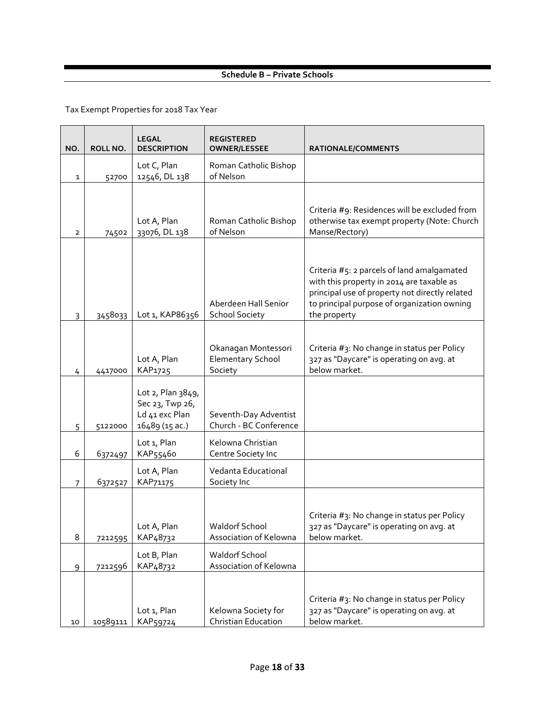#### **Schedule B – Private Schools**

| NO.            | ROLL NO. | <b>LEGAL</b><br><b>DESCRIPTION</b>                                       | <b>REGISTERED</b><br><b>OWNER/LESSEE</b>                   | RATIONALE/COMMENTS                                                                                                                                                                                       |
|----------------|----------|--------------------------------------------------------------------------|------------------------------------------------------------|----------------------------------------------------------------------------------------------------------------------------------------------------------------------------------------------------------|
| 1              | 52700    | Lot C, Plan<br>12546, DL 138                                             | Roman Catholic Bishop<br>of Nelson                         |                                                                                                                                                                                                          |
| $\overline{2}$ | 74502    | Lot A, Plan<br>33076, DL 138                                             | Roman Catholic Bishop<br>of Nelson                         | Criteria #9: Residences will be excluded from<br>otherwise tax exempt property (Note: Church<br>Manse/Rectory)                                                                                           |
| 3              | 3458033  | Lot 1, KAP86356                                                          | Aberdeen Hall Senior<br><b>School Society</b>              | Criteria #5: 2 parcels of land amalgamated<br>with this property in 2014 are taxable as<br>principal use of property not directly related<br>to principal purpose of organization owning<br>the property |
| 4              | 4417000  | Lot A, Plan<br>KAP1725                                                   | Okanagan Montessori<br><b>Elementary School</b><br>Society | Criteria #3: No change in status per Policy<br>327 as "Daycare" is operating on avg. at<br>below market.                                                                                                 |
| 5              | 5122000  | Lot 2, Plan 3849,<br>Sec 23, Twp 26,<br>Ld 41 exc Plan<br>16489 (15 ac.) | Seventh-Day Adventist<br>Church - BC Conference            |                                                                                                                                                                                                          |
| 6              | 6372497  | Lot 1, Plan<br>KAP55460                                                  | Kelowna Christian<br>Centre Society Inc                    |                                                                                                                                                                                                          |
| 7              | 6372527  | Lot A, Plan<br>KAP71175                                                  | Vedanta Educational<br>Society Inc                         |                                                                                                                                                                                                          |
| 8              | 7212595  | Lot A, Plan<br>KAP <sub>4</sub> 8732                                     | <b>Waldorf School</b><br>Association of Kelowna            | Criteria #3: No change in status per Policy<br>327 as "Daycare" is operating on avg. at<br>below market.                                                                                                 |
| 9              | 7212596  | Lot B, Plan<br>KAP48732                                                  | <b>Waldorf School</b><br>Association of Kelowna            |                                                                                                                                                                                                          |
| 10             | 10589111 | Lot 1, Plan<br>KAP59724                                                  | Kelowna Society for<br><b>Christian Education</b>          | Criteria #3: No change in status per Policy<br>327 as "Daycare" is operating on avg. at<br>below market.                                                                                                 |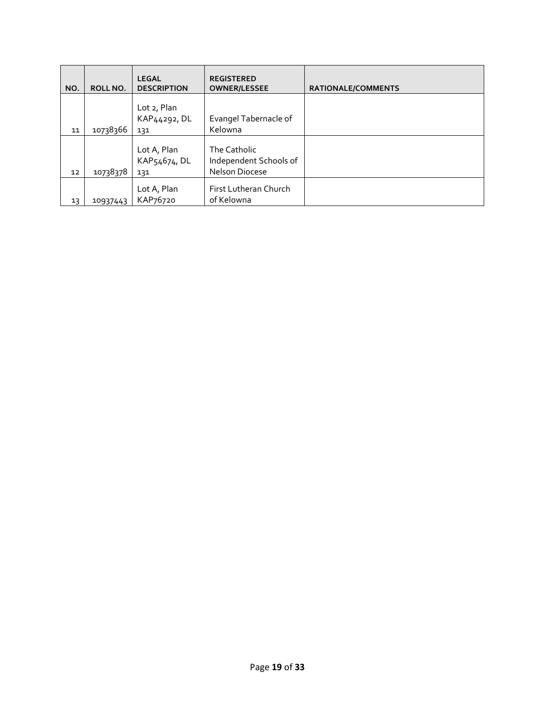| NO. | ROLL NO. | <b>LEGAL</b><br><b>DESCRIPTION</b> | <b>REGISTERED</b><br><b>OWNER/LESSEE</b>                 | <b>RATIONALE/COMMENTS</b> |
|-----|----------|------------------------------------|----------------------------------------------------------|---------------------------|
|     |          | Lot 2, Plan<br>KAP44292, DL        | Evangel Tabernacle of                                    |                           |
| 11  | 10738366 | 131                                | Kelowna                                                  |                           |
| 12  | 10738378 | Lot A, Plan<br>KAP54674, DL<br>131 | The Catholic<br>Independent Schools of<br>Nelson Diocese |                           |
| 13  | 10937443 | Lot A, Plan<br>KAP76720            | First Lutheran Church<br>of Kelowna                      |                           |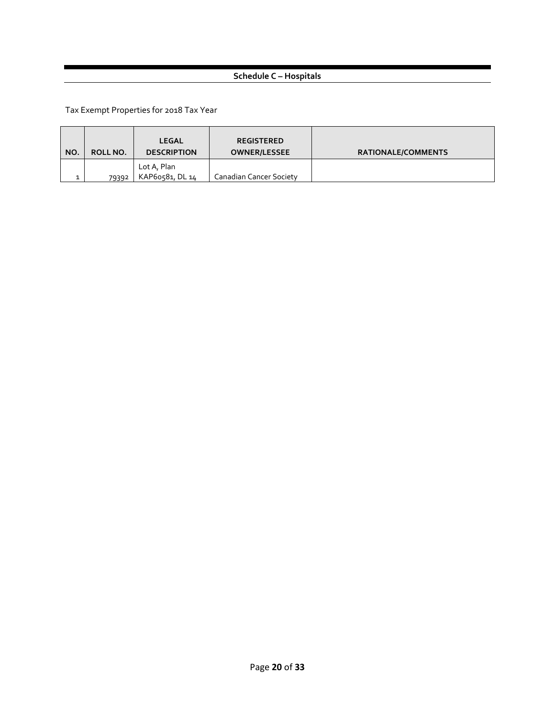# **Schedule C – Hospitals**

| NO. | ROLL NO. | LEGAL<br><b>DESCRIPTION</b>    | <b>REGISTERED</b><br><b>OWNER/LESSEE</b> | <b>RATIONALE/COMMENTS</b> |
|-----|----------|--------------------------------|------------------------------------------|---------------------------|
|     | 79392    | Lot A, Plan<br>KAP60581, DL 14 | Canadian Cancer Society                  |                           |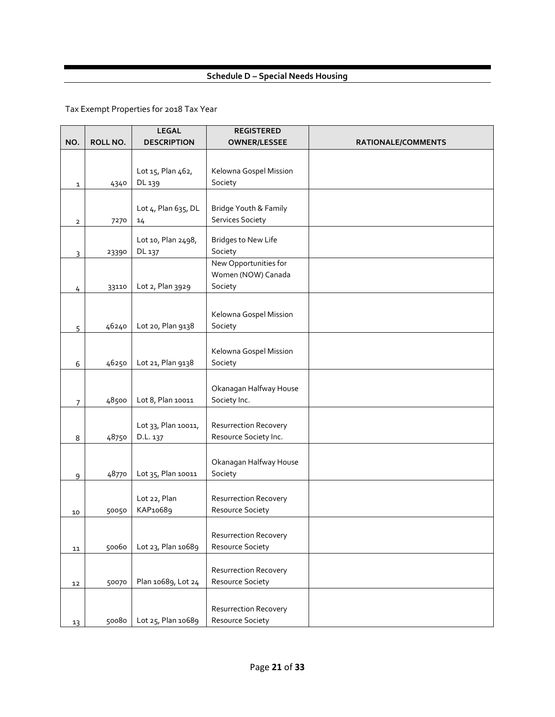# **Schedule D – Special Needs Housing**

|                |          | <b>LEGAL</b>        | <b>REGISTERED</b>            |                    |
|----------------|----------|---------------------|------------------------------|--------------------|
| NO.            | ROLL NO. | <b>DESCRIPTION</b>  | <b>OWNER/LESSEE</b>          | RATIONALE/COMMENTS |
|                |          |                     |                              |                    |
|                |          | Lot 15, Plan 462,   | Kelowna Gospel Mission       |                    |
| $\mathbf{1}$   | 4340     | DL 139              | Society                      |                    |
|                |          |                     |                              |                    |
|                |          | Lot 4, Plan 635, DL | Bridge Youth & Family        |                    |
|                | 7270     | 14                  | <b>Services Society</b>      |                    |
| $\mathbf{2}$   |          |                     |                              |                    |
|                |          | Lot 10, Plan 2498,  | <b>Bridges to New Life</b>   |                    |
| 3              | 23390    | DL 137              | Society                      |                    |
|                |          |                     | New Opportunities for        |                    |
|                |          |                     | Women (NOW) Canada           |                    |
| 4              | 33110    | Lot 2, Plan 3929    | Society                      |                    |
|                |          |                     |                              |                    |
|                |          |                     | Kelowna Gospel Mission       |                    |
| 5              | 46240    | Lot 20, Plan 9138   | Society                      |                    |
|                |          |                     |                              |                    |
|                |          |                     | Kelowna Gospel Mission       |                    |
| 6              | 46250    | Lot 21, Plan 9138   | Society                      |                    |
|                |          |                     |                              |                    |
|                |          |                     | Okanagan Halfway House       |                    |
| $\overline{7}$ | 48500    | Lot 8, Plan 10011   | Society Inc.                 |                    |
|                |          |                     |                              |                    |
|                |          | Lot 33, Plan 10011, | <b>Resurrection Recovery</b> |                    |
| 8              | 48750    | D.L. 137            | Resource Society Inc.        |                    |
|                |          |                     |                              |                    |
|                |          |                     | Okanagan Halfway House       |                    |
| 9              | 48770    | Lot 35, Plan 10011  | Society                      |                    |
|                |          |                     |                              |                    |
|                |          | Lot 22, Plan        | <b>Resurrection Recovery</b> |                    |
| 10             | 50050    | KAP10689            | Resource Society             |                    |
|                |          |                     |                              |                    |
|                |          |                     | <b>Resurrection Recovery</b> |                    |
| 11             | 50060    | Lot 23, Plan 10689  | Resource Society             |                    |
|                |          |                     |                              |                    |
|                |          |                     | <b>Resurrection Recovery</b> |                    |
| 12             | 50070    | Plan 10689, Lot 24  | Resource Society             |                    |
|                |          |                     |                              |                    |
|                |          |                     | <b>Resurrection Recovery</b> |                    |
| 13             | 50080    | Lot 25, Plan 10689  | Resource Society             |                    |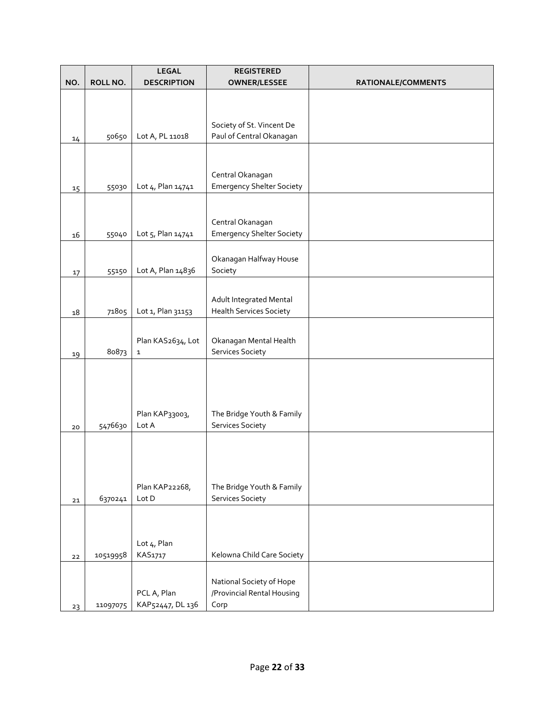| NO. | ROLL NO. | <b>LEGAL</b><br><b>DESCRIPTION</b> | <b>REGISTERED</b><br><b>OWNER/LESSEE</b>      | RATIONALE/COMMENTS |
|-----|----------|------------------------------------|-----------------------------------------------|--------------------|
|     |          |                                    |                                               |                    |
|     |          |                                    |                                               |                    |
|     |          |                                    | Society of St. Vincent De                     |                    |
| 14  | 50650    | Lot A, PL 11018                    | Paul of Central Okanagan                      |                    |
|     |          |                                    |                                               |                    |
|     |          |                                    | Central Okanagan                              |                    |
| 15  | 55030    | Lot 4, Plan 14741                  | <b>Emergency Shelter Society</b>              |                    |
|     |          |                                    |                                               |                    |
|     |          |                                    | Central Okanagan                              |                    |
| 16  | 55040    | Lot 5, Plan 14741                  | <b>Emergency Shelter Society</b>              |                    |
|     |          |                                    | Okanagan Halfway House                        |                    |
| 17  | 55150    | Lot A, Plan 14836                  | Society                                       |                    |
|     |          |                                    |                                               |                    |
|     |          |                                    | Adult Integrated Mental                       |                    |
| 18  | 71805    | Lot 1, Plan 31153                  | <b>Health Services Society</b>                |                    |
|     |          | Plan KAS2634, Lot                  | Okanagan Mental Health                        |                    |
| 19  | 80873    | 1                                  | Services Society                              |                    |
|     |          |                                    |                                               |                    |
|     |          |                                    |                                               |                    |
|     |          |                                    |                                               |                    |
|     |          | Plan KAP33003,                     | The Bridge Youth & Family                     |                    |
| 20  | 5476630  | Lot A                              | <b>Services Society</b>                       |                    |
|     |          |                                    |                                               |                    |
|     |          |                                    |                                               |                    |
|     |          |                                    |                                               |                    |
| 21  | 6370241  | Plan KAP22268,<br>Lot D            | The Bridge Youth & Family<br>Services Society |                    |
|     |          |                                    |                                               |                    |
|     |          |                                    |                                               |                    |
|     |          | Lot 4, Plan                        |                                               |                    |
| 22  | 10519958 | KAS1717                            | Kelowna Child Care Society                    |                    |
|     |          |                                    | National Society of Hope                      |                    |
|     |          | PCL A, Plan                        | /Provincial Rental Housing                    |                    |
| 23  | 11097075 | KAP52447, DL 136                   | Corp                                          |                    |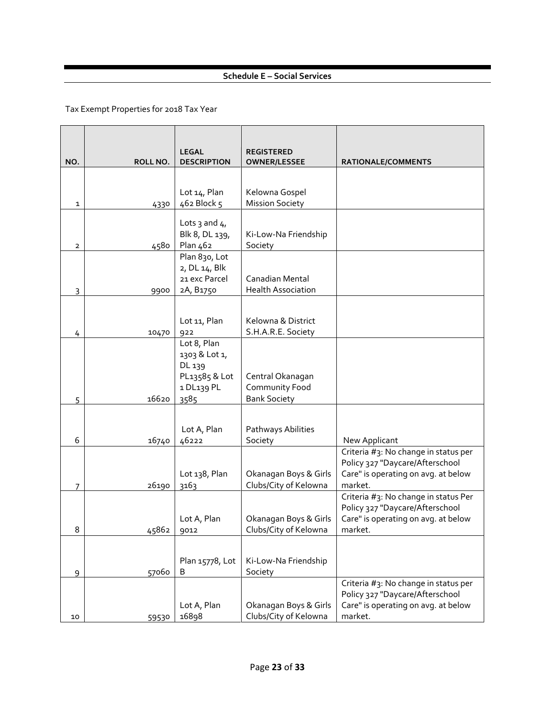# **Schedule E – Social Services**

| NO. | ROLL NO. | <b>LEGAL</b><br><b>DESCRIPTION</b>                                            | <b>REGISTERED</b><br><b>OWNER/LESSEE</b>                  | RATIONALE/COMMENTS                                                                                                        |
|-----|----------|-------------------------------------------------------------------------------|-----------------------------------------------------------|---------------------------------------------------------------------------------------------------------------------------|
|     |          |                                                                               |                                                           |                                                                                                                           |
| 1   | 4330     | Lot 14, Plan<br>462 Block 5                                                   | Kelowna Gospel<br><b>Mission Society</b>                  |                                                                                                                           |
| 2   | 4580     | Lots 3 and $41$<br>Blk 8, DL 139,<br>Plan 462                                 | Ki-Low-Na Friendship<br>Society                           |                                                                                                                           |
| 3   | 9900     | Plan 830, Lot<br>2, DL 14, Blk<br>21 exc Parcel<br>2A, B1750                  | Canadian Mental<br><b>Health Association</b>              |                                                                                                                           |
| 4   | 10470    | Lot 11, Plan<br>922                                                           | Kelowna & District<br>S.H.A.R.E. Society                  |                                                                                                                           |
| 5   | 16620    | Lot 8, Plan<br>1303 & Lot 1,<br>DL 139<br>PL13585 & Lot<br>1 DL139 PL<br>3585 | Central Okanagan<br>Community Food<br><b>Bank Society</b> |                                                                                                                           |
| 6   | 16740    | Lot A, Plan<br>46222                                                          | Pathways Abilities<br>Society                             | New Applicant                                                                                                             |
| 7   | 26190    | Lot 138, Plan<br>3163                                                         | Okanagan Boys & Girls<br>Clubs/City of Kelowna            | Criteria #3: No change in status per<br>Policy 327 "Daycare/Afterschool<br>Care" is operating on avg. at below<br>market. |
| 8   | 45862    | Lot A, Plan<br>9012                                                           | Okanagan Boys & Girls<br>Clubs/City of Kelowna            | Criteria #3: No change in status Per<br>Policy 327 "Daycare/Afterschool<br>Care" is operating on avg. at below<br>market. |
| 9   | 57060    | Plan 15778, Lot<br>B                                                          | Ki-Low-Na Friendship<br>Society                           |                                                                                                                           |
| 10  | 59530    | Lot A, Plan<br>16898                                                          | Okanagan Boys & Girls<br>Clubs/City of Kelowna            | Criteria #3: No change in status per<br>Policy 327 "Daycare/Afterschool<br>Care" is operating on avg. at below<br>market. |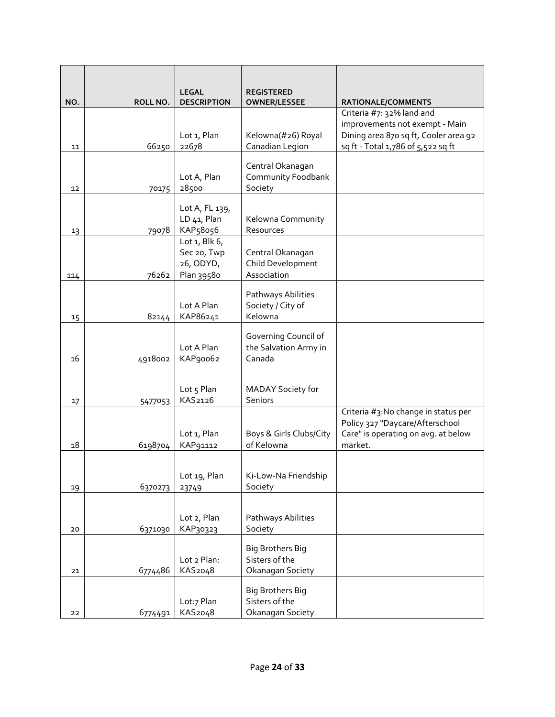| NO. | ROLL NO. | <b>LEGAL</b><br><b>DESCRIPTION</b> | <b>REGISTERED</b><br><b>OWNER/LESSEE</b>      | RATIONALE/COMMENTS                    |
|-----|----------|------------------------------------|-----------------------------------------------|---------------------------------------|
|     |          |                                    |                                               | Criteria #7: 32% land and             |
|     |          |                                    |                                               | improvements not exempt - Main        |
|     |          | Lot 1, Plan                        | Kelowna(#26) Royal                            | Dining area 870 sq ft, Cooler area 92 |
| 11  | 66250    | 22678                              | Canadian Legion                               | sq ft - Total 1,786 of 5,522 sq ft    |
|     |          |                                    | Central Okanagan                              |                                       |
|     |          | Lot A, Plan                        | Community Foodbank                            |                                       |
| 12  | 70175    | 28500                              | Society                                       |                                       |
|     |          | Lot A, FL 139,                     |                                               |                                       |
|     |          | LD 41, Plan                        | Kelowna Community                             |                                       |
| 13  | 79078    | KAP58056                           | Resources                                     |                                       |
|     |          | Lot $1$ , Blk $6$ ,<br>Sec 20, Twp | Central Okanagan                              |                                       |
|     |          | 26, ODYD,                          | Child Development                             |                                       |
| 114 | 76262    | Plan 39580                         | Association                                   |                                       |
|     |          |                                    |                                               |                                       |
|     |          | Lot A Plan                         | Pathways Abilities<br>Society / City of       |                                       |
| 15  | 82144    | KAP86241                           | Kelowna                                       |                                       |
|     |          |                                    |                                               |                                       |
|     |          | Lot A Plan                         | Governing Council of<br>the Salvation Army in |                                       |
| 16  | 4918002  | KAP90062                           | Canada                                        |                                       |
|     |          |                                    |                                               |                                       |
|     |          | Lot 5 Plan                         | MADAY Society for                             |                                       |
| 17  | 5477053  | KAS2126                            | <b>Seniors</b>                                |                                       |
|     |          |                                    |                                               | Criteria #3:No change in status per   |
|     |          |                                    |                                               | Policy 327 "Daycare/Afterschool       |
|     |          | Lot 1, Plan                        | Boys & Girls Clubs/City                       | Care" is operating on avg. at below   |
| 18  | 6198704  | KAP91112                           | of Kelowna                                    | market.                               |
|     |          |                                    |                                               |                                       |
|     |          | Lot 19, Plan                       | Ki-Low-Na Friendship                          |                                       |
| 19  | 6370273  | 23749                              | Society                                       |                                       |
|     |          |                                    |                                               |                                       |
|     |          | Lot 2, Plan                        | Pathways Abilities                            |                                       |
| 20  | 6371030  | KAP30323                           | Society                                       |                                       |
|     |          |                                    | <b>Big Brothers Big</b>                       |                                       |
|     |          | Lot 2 Plan:                        | Sisters of the                                |                                       |
| 21  | 6774486  | KAS2048                            | Okanagan Society                              |                                       |
|     |          |                                    | <b>Big Brothers Big</b>                       |                                       |
|     |          | Lot:7 Plan                         | Sisters of the                                |                                       |
| 22  | 6774491  | KAS2048                            | Okanagan Society                              |                                       |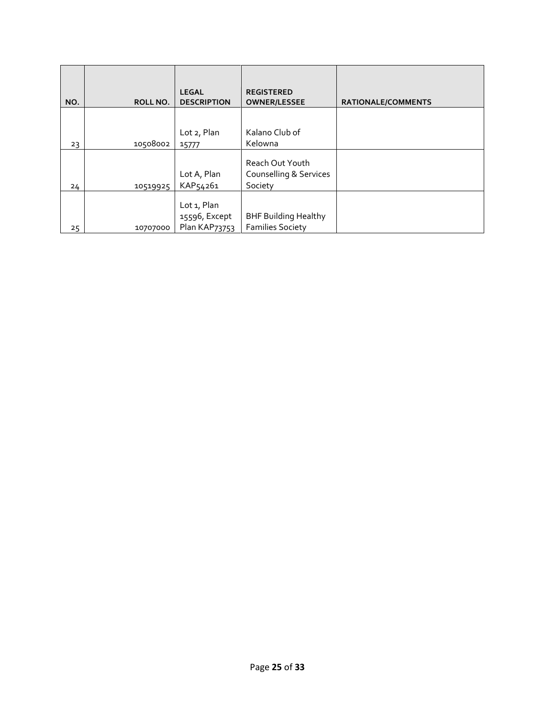|     |          | <b>LEGAL</b>                                         | <b>REGISTERED</b>                                      |                           |
|-----|----------|------------------------------------------------------|--------------------------------------------------------|---------------------------|
| NO. | ROLL NO. | <b>DESCRIPTION</b>                                   | <b>OWNER/LESSEE</b>                                    | <b>RATIONALE/COMMENTS</b> |
| 23  | 10508002 | Lot 2, Plan<br>15777                                 | Kalano Club of<br>Kelowna                              |                           |
| 24  | 10519925 | Lot A, Plan<br>KAP54261                              | Reach Out Youth<br>Counselling & Services<br>Society   |                           |
| 25  | 10707000 | Lot 1, Plan<br>15596, Except<br><b>Plan KAP73753</b> | <b>BHF Building Healthy</b><br><b>Families Society</b> |                           |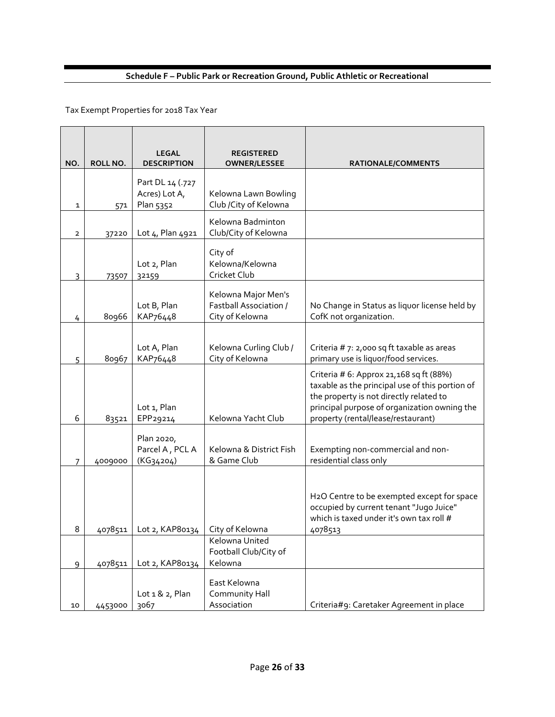# **Schedule F – Public Park or Recreation Ground, Public Athletic or Recreational**

| NO.          | ROLL NO. | <b>LEGAL</b><br><b>DESCRIPTION</b>             | <b>REGISTERED</b><br><b>OWNER/LESSEE</b>                                | RATIONALE/COMMENTS                                                                                                                                                                                                           |
|--------------|----------|------------------------------------------------|-------------------------------------------------------------------------|------------------------------------------------------------------------------------------------------------------------------------------------------------------------------------------------------------------------------|
| 1            | 571      | Part DL 14 (.727<br>Acres) Lot A,<br>Plan 5352 | Kelowna Lawn Bowling<br>Club / City of Kelowna                          |                                                                                                                                                                                                                              |
| $\mathbf{2}$ | 37220    | Lot 4, Plan 4921                               | Kelowna Badminton<br>Club/City of Kelowna                               |                                                                                                                                                                                                                              |
| 3            | 73507    | Lot 2, Plan<br>32159                           | City of<br>Kelowna/Kelowna<br>Cricket Club                              |                                                                                                                                                                                                                              |
| 4            | 80966    | Lot B, Plan<br>KAP76448                        | Kelowna Major Men's<br><b>Fastball Association /</b><br>City of Kelowna | No Change in Status as liquor license held by<br>CofK not organization.                                                                                                                                                      |
| 5            | 80967    | Lot A, Plan<br>KAP76448                        | Kelowna Curling Club /<br>City of Kelowna                               | Criteria # 7: 2,000 sq ft taxable as areas<br>primary use is liquor/food services.                                                                                                                                           |
| 6            | 83521    | Lot 1, Plan<br>EPP29214                        | Kelowna Yacht Club                                                      | Criteria # 6: Approx 21, 168 sq ft (88%)<br>taxable as the principal use of this portion of<br>the property is not directly related to<br>principal purpose of organization owning the<br>property (rental/lease/restaurant) |
| 7            | 4009000  | Plan 2020,<br>Parcel A, PCL A<br>$(KG_34204)$  | Kelowna & District Fish<br>& Game Club                                  | Exempting non-commercial and non-<br>residential class only                                                                                                                                                                  |
| 8            | 4078511  | Lot 2, KAP80134                                | City of Kelowna                                                         | H2O Centre to be exempted except for space<br>occupied by current tenant "Jugo Juice"<br>which is taxed under it's own tax roll #<br>4078513                                                                                 |
| 9            | 4078511  | Lot 2, KAP80134                                | Kelowna United<br>Football Club/City of<br>Kelowna                      |                                                                                                                                                                                                                              |
| 10           | 4453000  | Lot $1 & 2$ , Plan<br>3067                     | East Kelowna<br>Community Hall<br>Association                           | Criteria#9: Caretaker Agreement in place                                                                                                                                                                                     |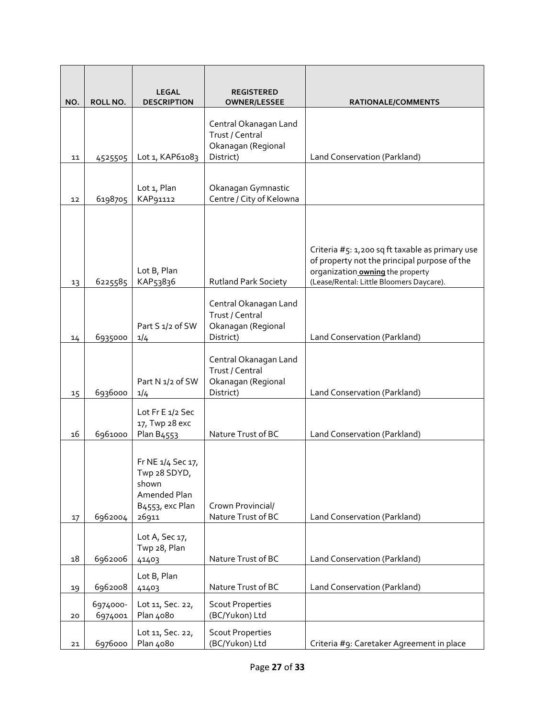|        |                     | <b>LEGAL</b>                                                                                        | <b>REGISTERED</b>                                                           |                                                                                                                                                                                 |
|--------|---------------------|-----------------------------------------------------------------------------------------------------|-----------------------------------------------------------------------------|---------------------------------------------------------------------------------------------------------------------------------------------------------------------------------|
| NO.    | ROLL NO.            | <b>DESCRIPTION</b>                                                                                  | <b>OWNER/LESSEE</b>                                                         | RATIONALE/COMMENTS                                                                                                                                                              |
| 11     | 4525505             | Lot 1, KAP61083                                                                                     | Central Okanagan Land<br>Trust / Central<br>Okanagan (Regional<br>District) | Land Conservation (Parkland)                                                                                                                                                    |
|        |                     |                                                                                                     |                                                                             |                                                                                                                                                                                 |
| 12     | 6198705             | Lot 1, Plan<br>KAP91112                                                                             | Okanagan Gymnastic<br>Centre / City of Kelowna                              |                                                                                                                                                                                 |
| 13     | 6225585             | Lot B, Plan<br>KAP53836                                                                             | <b>Rutland Park Society</b>                                                 | Criteria #5: 1,200 sq ft taxable as primary use<br>of property not the principal purpose of the<br>organization owning the property<br>(Lease/Rental: Little Bloomers Daycare). |
| 14     | 6935000             | Part S 1/2 of SW<br>1/4                                                                             | Central Okanagan Land<br>Trust / Central<br>Okanagan (Regional<br>District) | Land Conservation (Parkland)                                                                                                                                                    |
| 15     | 6936000             | Part N 1/2 of SW<br>1/4                                                                             | Central Okanagan Land<br>Trust / Central<br>Okanagan (Regional<br>District) | Land Conservation (Parkland)                                                                                                                                                    |
| 16     | 6961000             | Lot Fr E 1/2 Sec<br>17, Twp 28 exc<br>Plan B4553                                                    | Nature Trust of BC                                                          | Land Conservation (Parkland)                                                                                                                                                    |
| 17     | 6962004             | Fr NE 1/4 Sec 17,<br>Twp 28 SDYD,<br>shown<br>Amended Plan<br>B <sub>4553</sub> , exc Plan<br>26911 | Crown Provincial/<br>Nature Trust of BC                                     | Land Conservation (Parkland)                                                                                                                                                    |
|        |                     | Lot A, Sec 17,<br>Twp 28, Plan                                                                      |                                                                             |                                                                                                                                                                                 |
| $18\,$ | 6962006             | 41403                                                                                               | Nature Trust of BC                                                          | Land Conservation (Parkland)                                                                                                                                                    |
| 19     | 6962008             | Lot B, Plan<br>41403                                                                                | Nature Trust of BC                                                          | Land Conservation (Parkland)                                                                                                                                                    |
| 20     | 6974000-<br>6974001 | Lot 11, Sec. 22,<br>Plan 4080                                                                       | <b>Scout Properties</b><br>(BC/Yukon) Ltd                                   |                                                                                                                                                                                 |
| 21     | 6976000             | Lot 11, Sec. 22,<br>Plan 4080                                                                       | <b>Scout Properties</b><br>(BC/Yukon) Ltd                                   | Criteria #9: Caretaker Agreement in place                                                                                                                                       |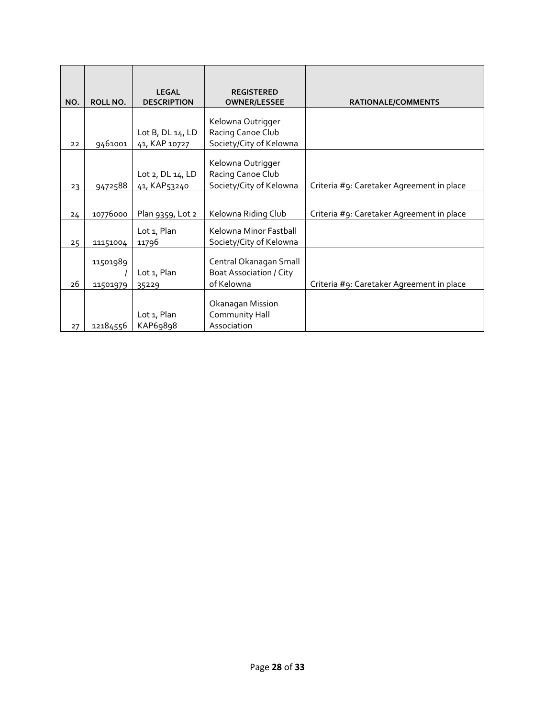| NO. | <b>ROLL NO.</b> | <b>LEGAL</b><br><b>DESCRIPTION</b>        | <b>REGISTERED</b><br><b>OWNER/LESSEE</b>          | <b>RATIONALE/COMMENTS</b>                 |
|-----|-----------------|-------------------------------------------|---------------------------------------------------|-------------------------------------------|
|     |                 |                                           | Kelowna Outrigger                                 |                                           |
| 22  | 9461001         | Lot $B$ , $DL 14$ , $LD$<br>41, KAP 10727 | Racing Canoe Club<br>Society/City of Kelowna      |                                           |
|     |                 |                                           | Kelowna Outrigger                                 |                                           |
| 23  | 9472588         | Lot $2,$ DL $14,$ LD<br>41, KAP53240      | Racing Canoe Club<br>Society/City of Kelowna      | Criteria #9: Caretaker Agreement in place |
|     |                 |                                           |                                                   |                                           |
| 24  | 10776000        | Plan 9359, Lot 2                          | Kelowna Riding Club                               | Criteria #9: Caretaker Agreement in place |
| 25  | 11151004        | Lot 1, Plan<br>11796                      | Kelowna Minor Fastball<br>Society/City of Kelowna |                                           |
|     | 11501989        |                                           | Central Okanagan Small                            |                                           |
| 26  | 11501979        | Lot 1, Plan<br>35229                      | <b>Boat Association / City</b><br>of Kelowna      | Criteria #9: Caretaker Agreement in place |
|     |                 |                                           |                                                   |                                           |
|     |                 |                                           | Okanagan Mission                                  |                                           |
|     |                 | Lot 1, Plan                               | Community Hall                                    |                                           |
| 27  | 12184556        | KAP69898                                  | Association                                       |                                           |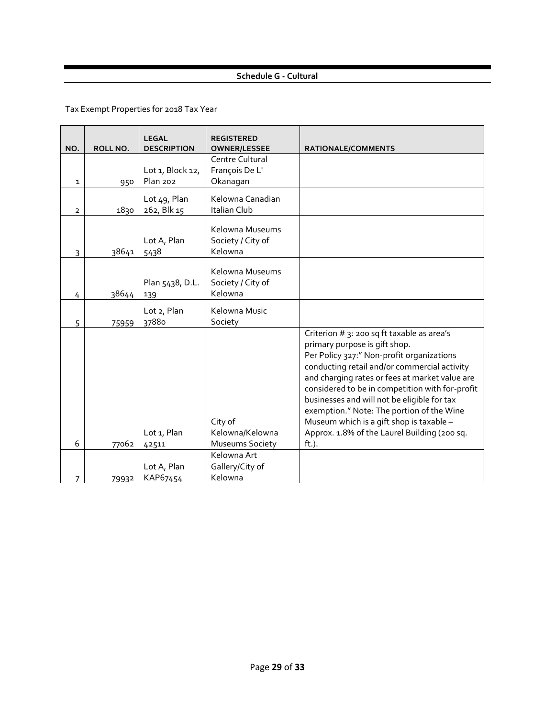# **Schedule G - Cultural**

| NO.            | ROLL NO. | <b>LEGAL</b><br><b>DESCRIPTION</b>  | <b>REGISTERED</b><br><b>OWNER/LESSEE</b>             | RATIONALE/COMMENTS                                                                                                                                                                                                                                                                                                                                                                                                                                                             |
|----------------|----------|-------------------------------------|------------------------------------------------------|--------------------------------------------------------------------------------------------------------------------------------------------------------------------------------------------------------------------------------------------------------------------------------------------------------------------------------------------------------------------------------------------------------------------------------------------------------------------------------|
| 1              | 950      | Lot 1, Block 12,<br><b>Plan 202</b> | Centre Cultural<br>François De L'<br>Okanagan        |                                                                                                                                                                                                                                                                                                                                                                                                                                                                                |
| $\overline{2}$ | 1830     | Lot 49, Plan<br>262, Blk 15         | Kelowna Canadian<br>Italian Club                     |                                                                                                                                                                                                                                                                                                                                                                                                                                                                                |
| 3              | 38641    | Lot A, Plan<br>5438                 | Kelowna Museums<br>Society / City of<br>Kelowna      |                                                                                                                                                                                                                                                                                                                                                                                                                                                                                |
| 4              | 38644    | Plan 5438, D.L.<br>139              | Kelowna Museums<br>Society / City of<br>Kelowna      |                                                                                                                                                                                                                                                                                                                                                                                                                                                                                |
| 5              | 75959    | Lot 2, Plan<br>37880                | Kelowna Music<br>Society                             |                                                                                                                                                                                                                                                                                                                                                                                                                                                                                |
| 6              | 77062    | Lot 1, Plan<br>42511                | City of<br>Kelowna/Kelowna<br><b>Museums Society</b> | Criterion # 3: 200 sq ft taxable as area's<br>primary purpose is gift shop.<br>Per Policy 327:" Non-profit organizations<br>conducting retail and/or commercial activity<br>and charging rates or fees at market value are<br>considered to be in competition with for-profit<br>businesses and will not be eligible for tax<br>exemption." Note: The portion of the Wine<br>Museum which is a gift shop is taxable -<br>Approx. 1.8% of the Laurel Building (200 sq.<br>ft.). |
|                |          | Lot A, Plan                         | Kelowna Art<br>Gallery/City of                       |                                                                                                                                                                                                                                                                                                                                                                                                                                                                                |
| 7              | 79932    | KAP67454                            | Kelowna                                              |                                                                                                                                                                                                                                                                                                                                                                                                                                                                                |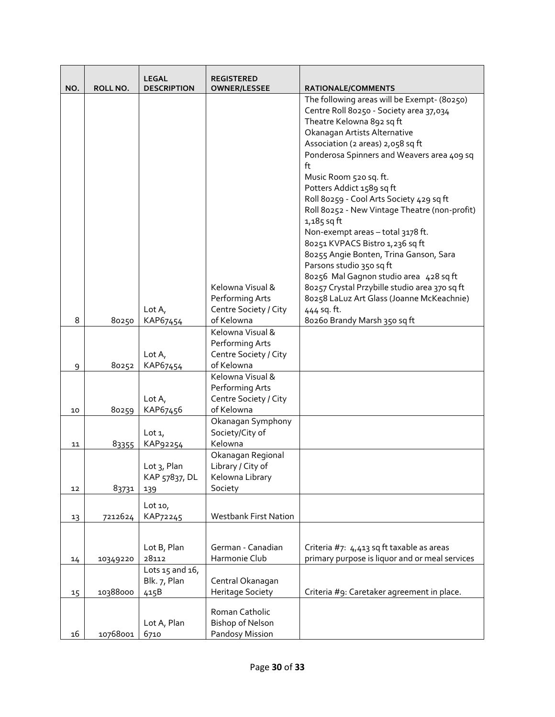|     |          | <b>LEGAL</b>         | <b>REGISTERED</b>                   |                                                |
|-----|----------|----------------------|-------------------------------------|------------------------------------------------|
| NO. | ROLL NO. | <b>DESCRIPTION</b>   | <b>OWNER/LESSEE</b>                 | RATIONALE/COMMENTS                             |
|     |          |                      |                                     | The following areas will be Exempt- (80250)    |
|     |          |                      |                                     | Centre Roll 80250 - Society area 37,034        |
|     |          |                      |                                     | Theatre Kelowna 892 sq ft                      |
|     |          |                      |                                     | Okanagan Artists Alternative                   |
|     |          |                      |                                     | Association (2 areas) 2,058 sq ft              |
|     |          |                      |                                     | Ponderosa Spinners and Weavers area 409 sq     |
|     |          |                      |                                     | ft                                             |
|     |          |                      |                                     | Music Room 520 sq. ft.                         |
|     |          |                      |                                     | Potters Addict 1589 sq ft                      |
|     |          |                      |                                     | Roll 80259 - Cool Arts Society 429 sq ft       |
|     |          |                      |                                     | Roll 80252 - New Vintage Theatre (non-profit)  |
|     |          |                      |                                     | $1,185$ sq ft                                  |
|     |          |                      |                                     | Non-exempt areas - total 3178 ft.              |
|     |          |                      |                                     | 80251 KVPACS Bistro 1,236 sq ft                |
|     |          |                      |                                     | 80255 Angie Bonten, Trina Ganson, Sara         |
|     |          |                      |                                     | Parsons studio 350 sq ft                       |
|     |          |                      |                                     | 80256 Mal Gagnon studio area 428 sq ft         |
|     |          |                      | Kelowna Visual &                    | 80257 Crystal Przybille studio area 370 sq ft  |
|     |          |                      | Performing Arts                     | 80258 LaLuz Art Glass (Joanne McKeachnie)      |
|     |          | Lot $A_{I}$          | Centre Society / City               | 444 sq. ft.                                    |
| 8   | 80250    | KAP67454             | of Kelowna                          | 80260 Brandy Marsh 350 sq ft                   |
|     |          |                      | Kelowna Visual &                    |                                                |
|     |          |                      | Performing Arts                     |                                                |
|     |          | Lot $A_{I}$          | Centre Society / City<br>of Kelowna |                                                |
| 9   | 80252    | KAP67454             | Kelowna Visual &                    |                                                |
|     |          |                      | Performing Arts                     |                                                |
|     |          | Lot $A_{I}$          | Centre Society / City               |                                                |
| 10  | 80259    | KAP67456             | of Kelowna                          |                                                |
|     |          |                      | Okanagan Symphony                   |                                                |
|     |          | Lot $1$ ,            | Society/City of                     |                                                |
| 11  | 83355    | KAP92254             | Kelowna                             |                                                |
|     |          |                      | Okanagan Regional                   |                                                |
|     |          | Lot 3, Plan          | Library / City of                   |                                                |
|     |          | KAP 57837, DL        | Kelowna Library                     |                                                |
| 12  | 83731    | 139                  | Society                             |                                                |
|     |          | Lot $101$            |                                     |                                                |
|     | 7212624  | KAP72245             | <b>Westbank First Nation</b>        |                                                |
| 13  |          |                      |                                     |                                                |
|     |          |                      |                                     |                                                |
|     |          | Lot B, Plan          | German - Canadian                   | Criteria #7: 4,413 sq ft taxable as areas      |
| 14  | 10349220 | 28112                | Harmonie Club                       | primary purpose is liquor and or meal services |
|     |          | Lots $15$ and $16$ , |                                     |                                                |
|     |          | Blk. 7, Plan         | Central Okanagan                    |                                                |
| 15  | 10388000 | 415B                 | Heritage Society                    | Criteria #9: Caretaker agreement in place.     |
|     |          |                      |                                     |                                                |
|     |          |                      | Roman Catholic                      |                                                |
|     |          | Lot A, Plan          | <b>Bishop of Nelson</b>             |                                                |
| 16  | 10768001 | 6710                 | Pandosy Mission                     |                                                |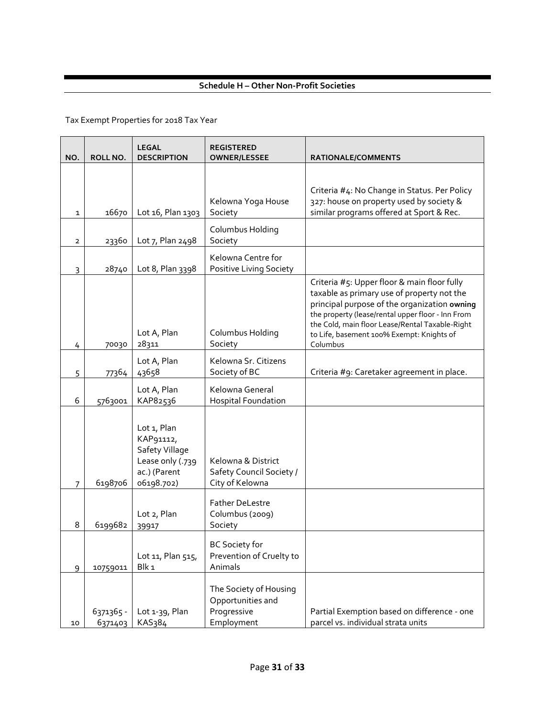# **Schedule H – Other Non-Profit Societies**

| NO.          | ROLL NO.             | <b>LEGAL</b><br><b>DESCRIPTION</b>                                                           | <b>REGISTERED</b><br><b>OWNER/LESSEE</b>                                 | <b>RATIONALE/COMMENTS</b>                                                                                                                                                                                                                                                                                  |  |
|--------------|----------------------|----------------------------------------------------------------------------------------------|--------------------------------------------------------------------------|------------------------------------------------------------------------------------------------------------------------------------------------------------------------------------------------------------------------------------------------------------------------------------------------------------|--|
|              |                      |                                                                                              |                                                                          |                                                                                                                                                                                                                                                                                                            |  |
| 1            | 16670                | Lot 16, Plan 1303                                                                            | Kelowna Yoga House<br>Society                                            | Criteria #4: No Change in Status. Per Policy<br>327: house on property used by society &<br>similar programs offered at Sport & Rec.                                                                                                                                                                       |  |
| $\mathbf{2}$ | 23360                | Lot 7, Plan 2498                                                                             | Columbus Holding<br>Society                                              |                                                                                                                                                                                                                                                                                                            |  |
| 3            | 28740                | Lot 8, Plan 3398                                                                             | Kelowna Centre for<br>Positive Living Society                            |                                                                                                                                                                                                                                                                                                            |  |
| 4            | 70030                | Lot A, Plan<br>28311                                                                         | Columbus Holding<br>Society                                              | Criteria #5: Upper floor & main floor fully<br>taxable as primary use of property not the<br>principal purpose of the organization owning<br>the property (lease/rental upper floor - Inn From<br>the Cold, main floor Lease/Rental Taxable-Right<br>to Life, basement 100% Exempt: Knights of<br>Columbus |  |
| 5            | 77364                | Lot A, Plan<br>43658                                                                         | Kelowna Sr. Citizens<br>Society of BC                                    | Criteria #9: Caretaker agreement in place.                                                                                                                                                                                                                                                                 |  |
| 6            | 5763001              | Lot A, Plan<br>KAP82536                                                                      | Kelowna General<br><b>Hospital Foundation</b>                            |                                                                                                                                                                                                                                                                                                            |  |
| 7            | 6198706              | Lot 1, Plan<br>KAP91112,<br>Safety Village<br>Lease only (.739<br>ac.) (Parent<br>06198.702) | Kelowna & District<br>Safety Council Society /<br>City of Kelowna        |                                                                                                                                                                                                                                                                                                            |  |
| 8            | 6199682              | Lot 2, Plan<br>39917                                                                         | <b>Father DeLestre</b><br>Columbus (2009)<br>Society                     |                                                                                                                                                                                                                                                                                                            |  |
| 9            | 10759011             | Lot 11, Plan 515,<br>Blk <sub>1</sub>                                                        | <b>BC Society for</b><br>Prevention of Cruelty to<br>Animals             |                                                                                                                                                                                                                                                                                                            |  |
| 10           | 6371365 -<br>6371403 | Lot 1-39, Plan<br>KAS384                                                                     | The Society of Housing<br>Opportunities and<br>Progressive<br>Employment | Partial Exemption based on difference - one<br>parcel vs. individual strata units                                                                                                                                                                                                                          |  |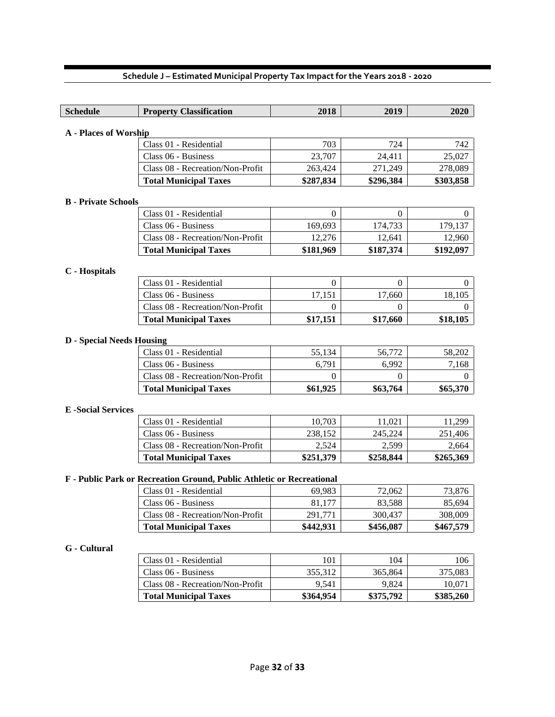| <b>Schedule</b>                                                       | <b>Property Classification</b>                          | 2018         | 2019           | 2020           |  |
|-----------------------------------------------------------------------|---------------------------------------------------------|--------------|----------------|----------------|--|
|                                                                       |                                                         |              |                |                |  |
| <b>A</b> - Places of Worship                                          |                                                         |              |                |                |  |
|                                                                       | Class 01 - Residential                                  | 703          | 724            | 742            |  |
|                                                                       | Class 06 - Business                                     | 23,707       | 24,411         | 25,027         |  |
|                                                                       | Class 08 - Recreation/Non-Profit                        | 263,424      | 271,249        | 278,089        |  |
|                                                                       | <b>Total Municipal Taxes</b>                            | \$287,834    | \$296,384      | \$303,858      |  |
|                                                                       |                                                         |              |                |                |  |
| <b>B</b> - Private Schools                                            |                                                         |              |                |                |  |
|                                                                       | Class 01 - Residential                                  | $\mathbf{0}$ | $\overline{0}$ | $\theta$       |  |
|                                                                       | Class 06 - Business                                     | 169,693      | 174,733        | 179,137        |  |
|                                                                       | Class 08 - Recreation/Non-Profit                        | 12,276       | 12,641         | 12,960         |  |
|                                                                       | <b>Total Municipal Taxes</b>                            | \$181,969    | \$187,374      | \$192,097      |  |
| C - Hospitals                                                         |                                                         |              |                |                |  |
|                                                                       | Class 01 - Residential                                  | $\mathbf{0}$ | $\Omega$       | $\overline{0}$ |  |
|                                                                       | Class 06 - Business                                     | 17,151       | 17,660         | 18,105         |  |
|                                                                       | Class 08 - Recreation/Non-Profit                        | 0            | 0              | $\Omega$       |  |
|                                                                       | <b>Total Municipal Taxes</b>                            | \$17,151     | \$17,660       | \$18,105       |  |
|                                                                       |                                                         |              |                |                |  |
| <b>D</b> - Special Needs Housing                                      |                                                         |              |                |                |  |
|                                                                       | Class 01 - Residential                                  | 55,134       | 56,772         | 58,202         |  |
|                                                                       | Class 06 - Business                                     | 6,791        | 6,992          | 7,168          |  |
|                                                                       | Class 08 - Recreation/Non-Profit                        | $\Omega$     | 0              | $\theta$       |  |
|                                                                       | <b>Total Municipal Taxes</b>                            | \$61,925     | \$63,764       | \$65,370       |  |
|                                                                       |                                                         |              |                |                |  |
| <b>E</b> -Social Services                                             |                                                         |              |                |                |  |
|                                                                       | Class 01 - Residential                                  | 10,703       | 11,021         | 11,299         |  |
|                                                                       | Class 06 - Business<br>Class 08 - Recreation/Non-Profit | 238,152      | 245,224        | 251,406        |  |
|                                                                       |                                                         | 2,524        | 2,599          | 2,664          |  |
|                                                                       | <b>Total Municipal Taxes</b>                            | \$251,379    | \$258,844      | \$265,369      |  |
| F - Public Park or Recreation Ground, Public Athletic or Recreational |                                                         |              |                |                |  |
|                                                                       | Class 01 - Residential                                  | 69,983       | 72,062         | 73,876         |  |
|                                                                       | Class 06 - Business                                     | 81,177       | 83,588         | 85,694         |  |
|                                                                       | Class 08 - Recreation/Non-Profit                        | 291,771      | 300,437        | 308,009        |  |
|                                                                       | <b>Total Municipal Taxes</b>                            | \$442,931    | \$456,087      | \$467,579      |  |
|                                                                       |                                                         |              |                |                |  |
| G - Cultural                                                          |                                                         |              |                |                |  |
|                                                                       | Class 01 - Residential                                  | 101          | 104            | 106            |  |
|                                                                       | Class 06 - Business                                     | 355,312      | 365,864        | 375,083        |  |

Class  $08$  - Recreation/Non-Profit  $\begin{vmatrix} 9,541 & 9,824 & 10,071 \end{vmatrix}$ **Total Municipal Taxes \$364,954 \$375,792 \$385,260**